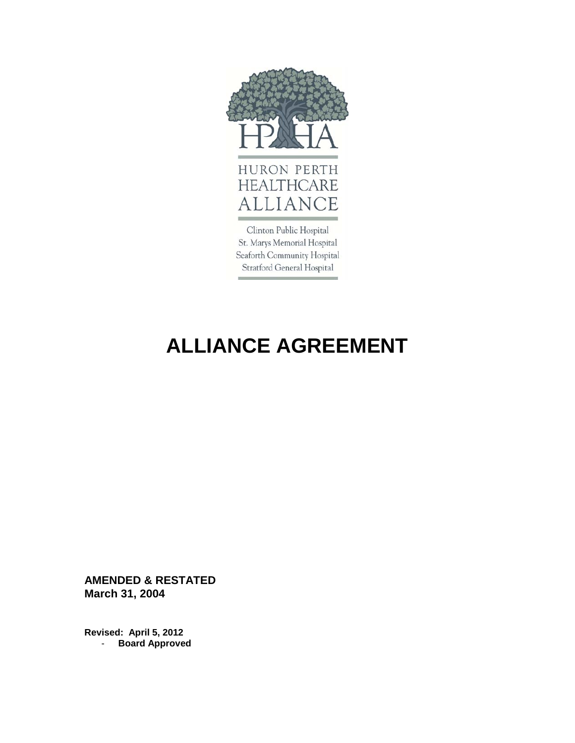

St. Marys Memorial Hospital Seaforth Community Hospital Stratford General Hospital

# **ALLIANCE AGREEMENT**

**AMENDED & RESTATED March 31, 2004**

**Revised: April 5, 2012**  - **Board Approved**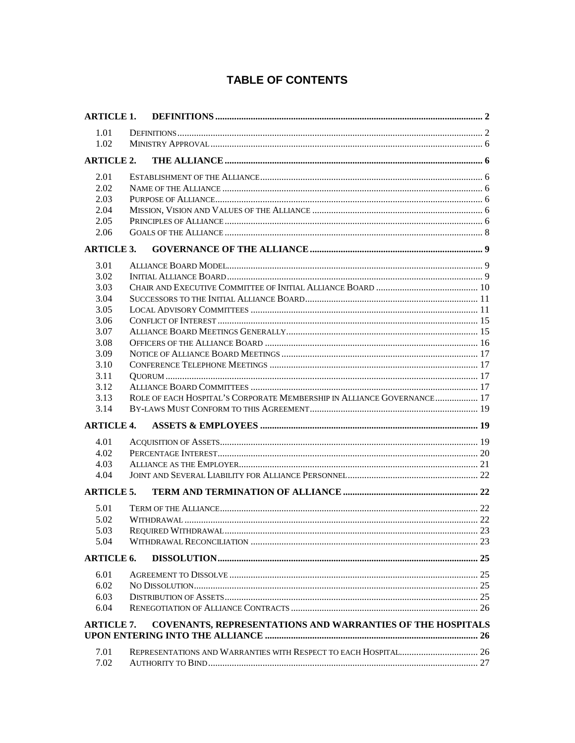# **TABLE OF CONTENTS**

| <b>ARTICLE 1.</b> |                                                                        |  |
|-------------------|------------------------------------------------------------------------|--|
| 1.01              |                                                                        |  |
| 1.02              |                                                                        |  |
| <b>ARTICLE 2.</b> |                                                                        |  |
|                   |                                                                        |  |
| 2.01              |                                                                        |  |
| 2.02              |                                                                        |  |
| 2.03              |                                                                        |  |
| 2.04              |                                                                        |  |
| 2.05              |                                                                        |  |
| 2.06              |                                                                        |  |
| <b>ARTICLE 3.</b> |                                                                        |  |
| 3.01              |                                                                        |  |
| 3.02              |                                                                        |  |
| 3.03              |                                                                        |  |
| 3.04              |                                                                        |  |
| 3.05              |                                                                        |  |
| 3.06              |                                                                        |  |
| 3.07              |                                                                        |  |
| 3.08              |                                                                        |  |
| 3.09              |                                                                        |  |
| 3.10              |                                                                        |  |
| 3.11              |                                                                        |  |
| 3.12              |                                                                        |  |
| 3.13              | ROLE OF EACH HOSPITAL'S CORPORATE MEMBERSHIP IN ALLIANCE GOVERNANCE 17 |  |
| 3.14              |                                                                        |  |
| <b>ARTICLE 4.</b> |                                                                        |  |
| 4.01              |                                                                        |  |
| 4.02              |                                                                        |  |
| 4.03              |                                                                        |  |
| 4.04              |                                                                        |  |
| <b>ARTICLE 5.</b> |                                                                        |  |
| 5.01              |                                                                        |  |
| 5.02              |                                                                        |  |
| 5.03              |                                                                        |  |
| 5.04              |                                                                        |  |
|                   |                                                                        |  |
| <b>ARTICLE 6.</b> |                                                                        |  |
| 6.01              |                                                                        |  |
| 6.02              |                                                                        |  |
| 6.03              |                                                                        |  |
| 6.04              |                                                                        |  |
| <b>ARTICLE 7.</b> | COVENANTS, REPRESENTATIONS AND WARRANTIES OF THE HOSPITALS             |  |
|                   |                                                                        |  |
| 7.01              |                                                                        |  |
| 7.02              |                                                                        |  |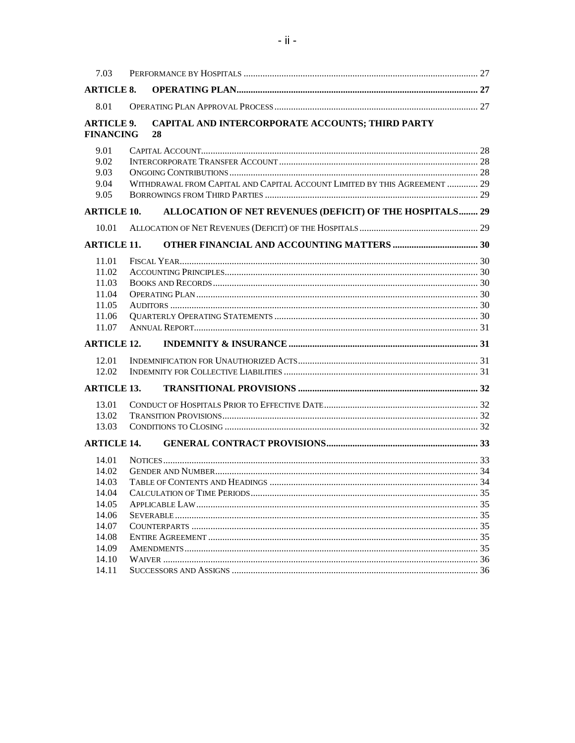| 7.03                                                        |                                                                           |  |
|-------------------------------------------------------------|---------------------------------------------------------------------------|--|
| <b>ARTICLE 8.</b>                                           |                                                                           |  |
| 8.01                                                        |                                                                           |  |
| <b>ARTICLE 9.</b><br><b>FINANCING</b>                       | CAPITAL AND INTERCORPORATE ACCOUNTS; THIRD PARTY<br>28                    |  |
| 9.01<br>9.02<br>9.03<br>9.04<br>9.05                        | WITHDRAWAL FROM CAPITAL AND CAPITAL ACCOUNT LIMITED BY THIS AGREEMENT  29 |  |
| <b>ARTICLE 10.</b>                                          | ALLOCATION OF NET REVENUES (DEFICIT) OF THE HOSPITALS 29                  |  |
| 10.01                                                       |                                                                           |  |
| <b>ARTICLE 11.</b>                                          |                                                                           |  |
| 11.01<br>11.02<br>11.03<br>11.04<br>11.05<br>11.06<br>11.07 |                                                                           |  |
| <b>ARTICLE 12.</b>                                          |                                                                           |  |
| 12.01                                                       |                                                                           |  |
| 12.02                                                       |                                                                           |  |
| <b>ARTICLE 13.</b>                                          |                                                                           |  |
| 13.01                                                       |                                                                           |  |
| 13.02                                                       |                                                                           |  |
| 13.03                                                       |                                                                           |  |
| <b>ARTICLE 14.</b>                                          |                                                                           |  |
| 14.01<br>14.02<br>14.03<br>14.04                            |                                                                           |  |
| 14.05                                                       |                                                                           |  |
| 14.06<br>14.07                                              |                                                                           |  |
| 14.08                                                       |                                                                           |  |
| 14.09                                                       |                                                                           |  |
| 14.10                                                       |                                                                           |  |
| 14.11                                                       |                                                                           |  |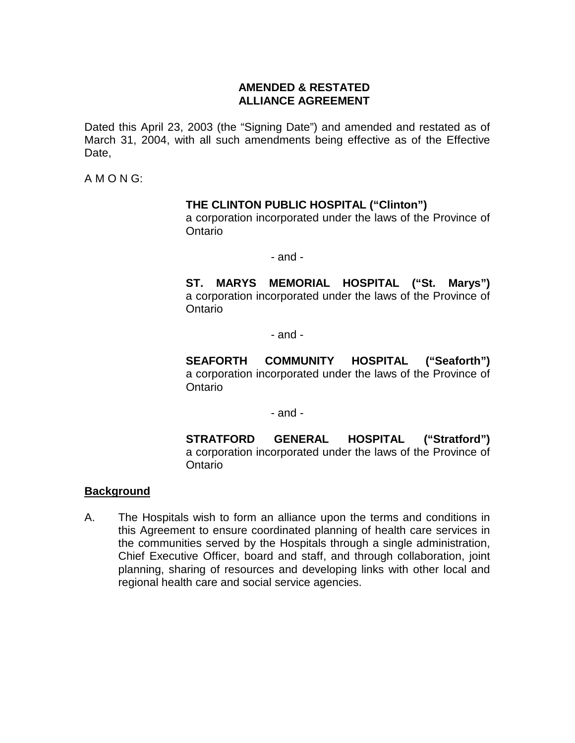#### **AMENDED & RESTATED ALLIANCE AGREEMENT**

Dated this April 23, 2003 (the "Signing Date") and amended and restated as of March 31, 2004, with all such amendments being effective as of the Effective Date,

A M O N G:

### **THE CLINTON PUBLIC HOSPITAL ("Clinton")**

a corporation incorporated under the laws of the Province of Ontario

- and -

**ST. MARYS MEMORIAL HOSPITAL ("St. Marys")** a corporation incorporated under the laws of the Province of **Ontario** 

- and -

**SEAFORTH COMMUNITY HOSPITAL ("Seaforth")** a corporation incorporated under the laws of the Province of **Ontario** 

- and -

**STRATFORD GENERAL HOSPITAL ("Stratford")** a corporation incorporated under the laws of the Province of **Ontario** 

#### **Background**

A. The Hospitals wish to form an alliance upon the terms and conditions in this Agreement to ensure coordinated planning of health care services in the communities served by the Hospitals through a single administration, Chief Executive Officer, board and staff, and through collaboration, joint planning, sharing of resources and developing links with other local and regional health care and social service agencies.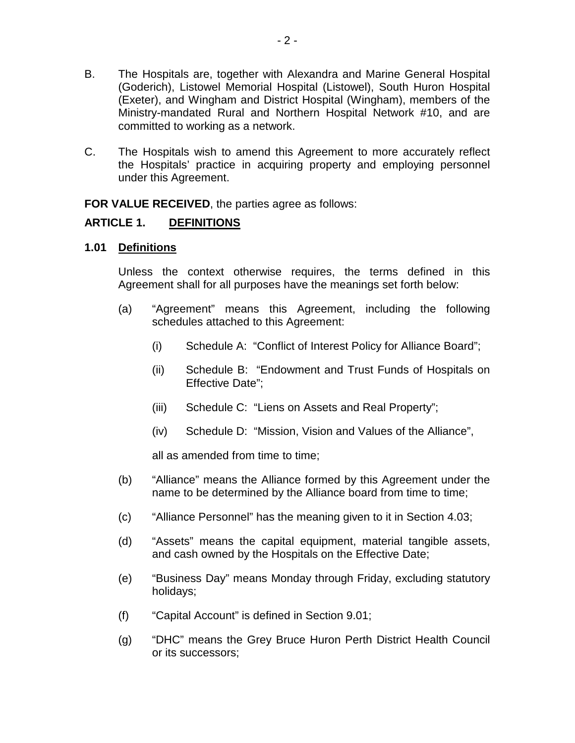- B. The Hospitals are, together with Alexandra and Marine General Hospital (Goderich), Listowel Memorial Hospital (Listowel), South Huron Hospital (Exeter), and Wingham and District Hospital (Wingham), members of the Ministry-mandated Rural and Northern Hospital Network #10, and are committed to working as a network.
- C. The Hospitals wish to amend this Agreement to more accurately reflect the Hospitals' practice in acquiring property and employing personnel under this Agreement.

**FOR VALUE RECEIVED, the parties agree as follows:** 

#### <span id="page-4-0"></span>**ARTICLE 1. DEFINITIONS**

# <span id="page-4-1"></span>**1.01 Definitions**

Unless the context otherwise requires, the terms defined in this Agreement shall for all purposes have the meanings set forth below:

- (a) "Agreement" means this Agreement, including the following schedules attached to this Agreement:
	- (i) Schedule A: "Conflict of Interest Policy for Alliance Board";
	- (ii) Schedule B: "Endowment and Trust Funds of Hospitals on Effective Date";
	- (iii) Schedule C: "Liens on Assets and Real Property";
	- (iv) Schedule D: "Mission, Vision and Values of the Alliance",

all as amended from time to time;

- (b) "Alliance" means the Alliance formed by this Agreement under the name to be determined by the Alliance board from time to time;
- (c) "Alliance Personnel" has the meaning given to it in Section [4.03;](#page-23-0)
- (d) "Assets" means the capital equipment, material tangible assets, and cash owned by the Hospitals on the Effective Date;
- (e) "Business Day" means Monday through Friday, excluding statutory holidays;
- (f) "Capital Account" is defined in Section [9.01;](#page-30-1)
- (g) "DHC" means the Grey Bruce Huron Perth District Health Council or its successors;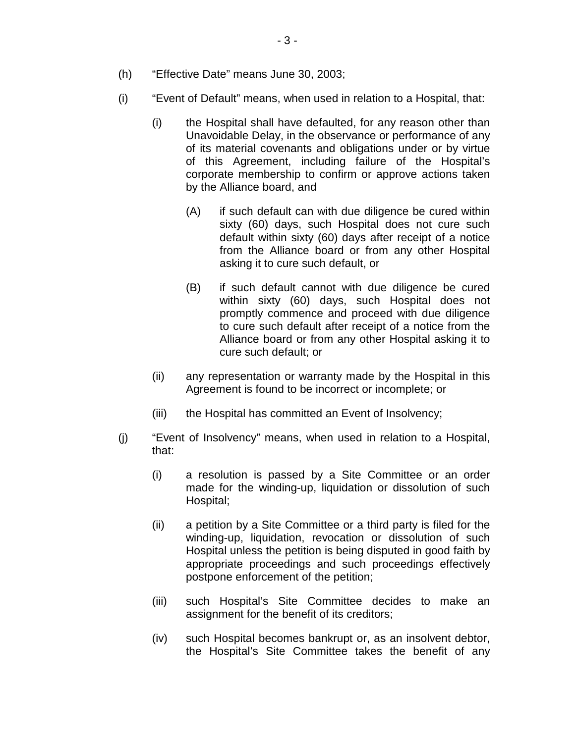- (h) "Effective Date" means June 30, 2003;
- (i) "Event of Default" means, when used in relation to a Hospital, that:
	- (i) the Hospital shall have defaulted, for any reason other than Unavoidable Delay, in the observance or performance of any of its material covenants and obligations under or by virtue of this Agreement, including failure of the Hospital's corporate membership to confirm or approve actions taken by the Alliance board, and
		- (A) if such default can with due diligence be cured within sixty (60) days, such Hospital does not cure such default within sixty (60) days after receipt of a notice from the Alliance board or from any other Hospital asking it to cure such default, or
		- (B) if such default cannot with due diligence be cured within sixty (60) days, such Hospital does not promptly commence and proceed with due diligence to cure such default after receipt of a notice from the Alliance board or from any other Hospital asking it to cure such default; or
	- (ii) any representation or warranty made by the Hospital in this Agreement is found to be incorrect or incomplete; or
	- (iii) the Hospital has committed an Event of Insolvency;
- (j) "Event of Insolvency" means, when used in relation to a Hospital, that:
	- (i) a resolution is passed by a Site Committee or an order made for the winding-up, liquidation or dissolution of such Hospital;
	- (ii) a petition by a Site Committee or a third party is filed for the winding-up, liquidation, revocation or dissolution of such Hospital unless the petition is being disputed in good faith by appropriate proceedings and such proceedings effectively postpone enforcement of the petition;
	- (iii) such Hospital's Site Committee decides to make an assignment for the benefit of its creditors;
	- (iv) such Hospital becomes bankrupt or, as an insolvent debtor, the Hospital's Site Committee takes the benefit of any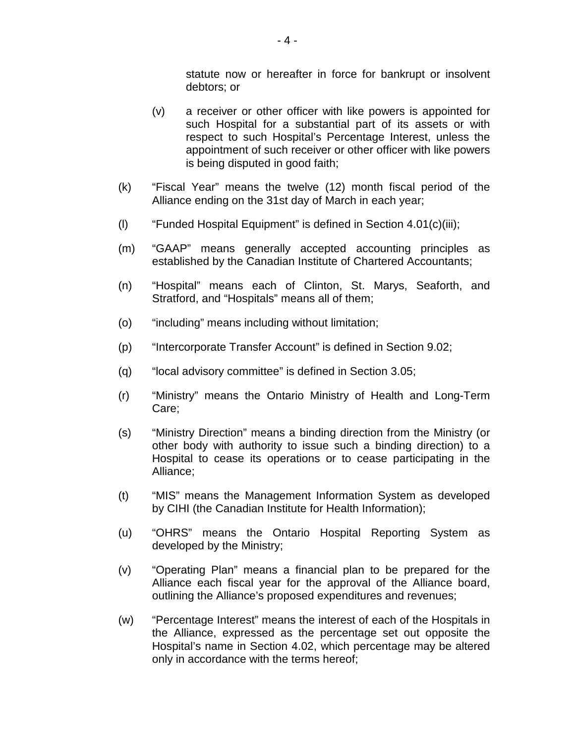statute now or hereafter in force for bankrupt or insolvent debtors; or

- (v) a receiver or other officer with like powers is appointed for such Hospital for a substantial part of its assets or with respect to such Hospital's Percentage Interest, unless the appointment of such receiver or other officer with like powers is being disputed in good faith;
- (k) "Fiscal Year" means the twelve (12) month fiscal period of the Alliance ending on the 31st day of March in each year;
- (l) "Funded Hospital Equipment" is defined in Section [4.01\(c\)\(iii\);](#page-22-1)
- (m) "GAAP" means generally accepted accounting principles as established by the Canadian Institute of Chartered Accountants;
- (n) "Hospital" means each of Clinton, St. Marys, Seaforth, and Stratford, and "Hospitals" means all of them;
- (o) "including" means including without limitation;
- (p) "Intercorporate Transfer Account" is defined in Section [9.02;](#page-30-2)
- (q) "local advisory committee" is defined in Section [3.05;](#page-13-1)
- (r) "Ministry" means the Ontario Ministry of Health and Long-Term Care;
- (s) "Ministry Direction" means a binding direction from the Ministry (or other body with authority to issue such a binding direction) to a Hospital to cease its operations or to cease participating in the Alliance;
- (t) "MIS" means the Management Information System as developed by CIHI (the Canadian Institute for Health Information);
- (u) "OHRS" means the Ontario Hospital Reporting System as developed by the Ministry;
- (v) "Operating Plan" means a financial plan to be prepared for the Alliance each fiscal year for the approval of the Alliance board, outlining the Alliance's proposed expenditures and revenues;
- (w) "Percentage Interest" means the interest of each of the Hospitals in the Alliance, expressed as the percentage set out opposite the Hospital's name in Section [4.02,](#page-22-0) which percentage may be altered only in accordance with the terms hereof;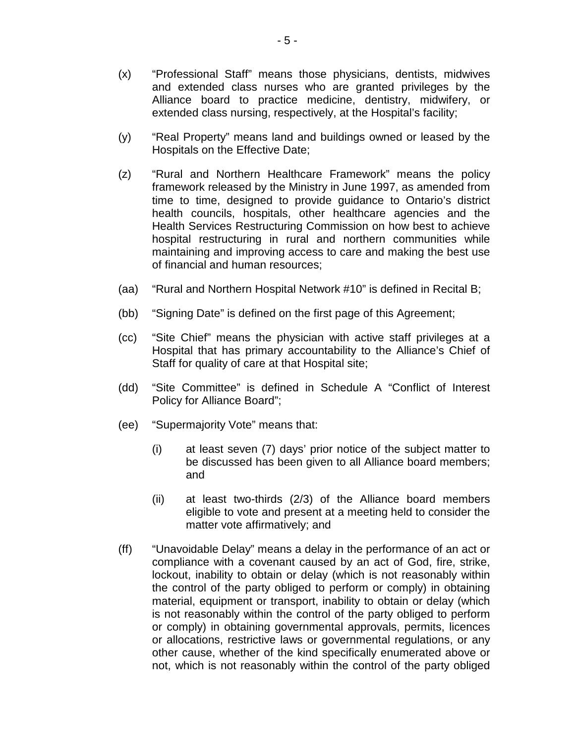- (x) "Professional Staff" means those physicians, dentists, midwives and extended class nurses who are granted privileges by the Alliance board to practice medicine, dentistry, midwifery, or extended class nursing, respectively, at the Hospital's facility;
- (y) "Real Property" means land and buildings owned or leased by the Hospitals on the Effective Date;
- (z) "Rural and Northern Healthcare Framework" means the policy framework released by the Ministry in June 1997, as amended from time to time, designed to provide guidance to Ontario's district health councils, hospitals, other healthcare agencies and the Health Services Restructuring Commission on how best to achieve hospital restructuring in rural and northern communities while maintaining and improving access to care and making the best use of financial and human resources;
- (aa) "Rural and Northern Hospital Network #10" is defined in Recital B;
- (bb) "Signing Date" is defined on the first page of this Agreement;
- (cc) "Site Chief" means the physician with active staff privileges at a Hospital that has primary accountability to the Alliance's Chief of Staff for quality of care at that Hospital site;
- (dd) "Site Committee" is defined in Schedule A "Conflict of Interest Policy for Alliance Board";
- (ee) "Supermajority Vote" means that:
	- (i) at least seven (7) days' prior notice of the subject matter to be discussed has been given to all Alliance board members; and
	- (ii) at least two-thirds (2/3) of the Alliance board members eligible to vote and present at a meeting held to consider the matter vote affirmatively; and
- (ff) "Unavoidable Delay" means a delay in the performance of an act or compliance with a covenant caused by an act of God, fire, strike, lockout, inability to obtain or delay (which is not reasonably within the control of the party obliged to perform or comply) in obtaining material, equipment or transport, inability to obtain or delay (which is not reasonably within the control of the party obliged to perform or comply) in obtaining governmental approvals, permits, licences or allocations, restrictive laws or governmental regulations, or any other cause, whether of the kind specifically enumerated above or not, which is not reasonably within the control of the party obliged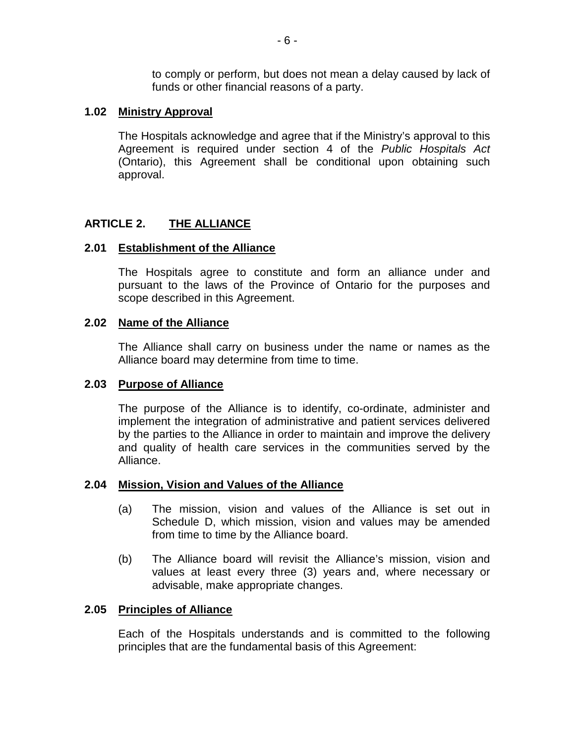to comply or perform, but does not mean a delay caused by lack of funds or other financial reasons of a party.

### <span id="page-8-0"></span>**1.02 Ministry Approval**

The Hospitals acknowledge and agree that if the Ministry's approval to this Agreement is required under section 4 of the *Public Hospitals Act* (Ontario), this Agreement shall be conditional upon obtaining such approval.

#### <span id="page-8-1"></span>**ARTICLE 2. THE ALLIANCE**

### <span id="page-8-2"></span>**2.01 Establishment of the Alliance**

The Hospitals agree to constitute and form an alliance under and pursuant to the laws of the Province of Ontario for the purposes and scope described in this Agreement.

#### <span id="page-8-3"></span>**2.02 Name of the Alliance**

The Alliance shall carry on business under the name or names as the Alliance board may determine from time to time.

#### <span id="page-8-4"></span>**2.03 Purpose of Alliance**

The purpose of the Alliance is to identify, co-ordinate, administer and implement the integration of administrative and patient services delivered by the parties to the Alliance in order to maintain and improve the delivery and quality of health care services in the communities served by the Alliance.

#### <span id="page-8-5"></span>**2.04 Mission, Vision and Values of the Alliance**

- (a) The mission, vision and values of the Alliance is set out in Schedule D, which mission, vision and values may be amended from time to time by the Alliance board.
- (b) The Alliance board will revisit the Alliance's mission, vision and values at least every three (3) years and, where necessary or advisable, make appropriate changes.

#### <span id="page-8-6"></span>**2.05 Principles of Alliance**

Each of the Hospitals understands and is committed to the following principles that are the fundamental basis of this Agreement: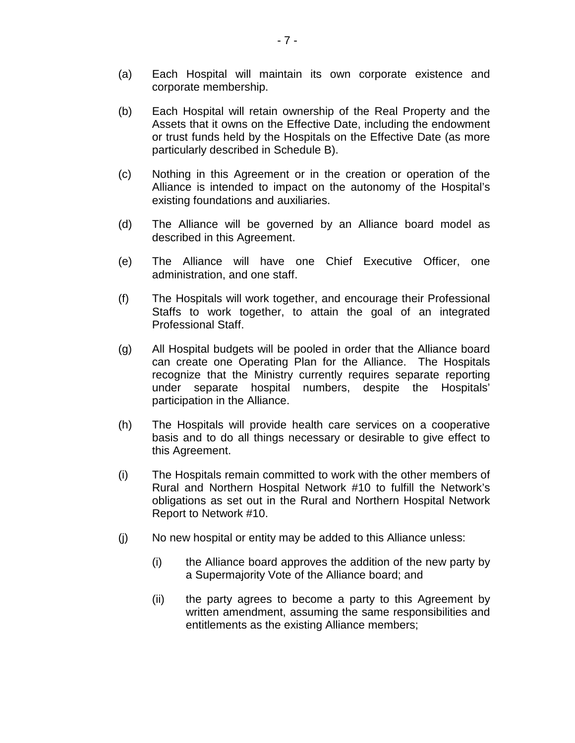- (a) Each Hospital will maintain its own corporate existence and corporate membership.
- (b) Each Hospital will retain ownership of the Real Property and the Assets that it owns on the Effective Date, including the endowment or trust funds held by the Hospitals on the Effective Date (as more particularly described in Schedule B).
- (c) Nothing in this Agreement or in the creation or operation of the Alliance is intended to impact on the autonomy of the Hospital's existing foundations and auxiliaries.
- (d) The Alliance will be governed by an Alliance board model as described in this Agreement.
- (e) The Alliance will have one Chief Executive Officer, one administration, and one staff.
- (f) The Hospitals will work together, and encourage their Professional Staffs to work together, to attain the goal of an integrated Professional Staff.
- (g) All Hospital budgets will be pooled in order that the Alliance board can create one Operating Plan for the Alliance. The Hospitals recognize that the Ministry currently requires separate reporting under separate hospital numbers, despite the Hospitals' participation in the Alliance.
- (h) The Hospitals will provide health care services on a cooperative basis and to do all things necessary or desirable to give effect to this Agreement.
- (i) The Hospitals remain committed to work with the other members of Rural and Northern Hospital Network #10 to fulfill the Network's obligations as set out in the Rural and Northern Hospital Network Report to Network #10.
- (j) No new hospital or entity may be added to this Alliance unless:
	- (i) the Alliance board approves the addition of the new party by a Supermajority Vote of the Alliance board; and
	- (ii) the party agrees to become a party to this Agreement by written amendment, assuming the same responsibilities and entitlements as the existing Alliance members;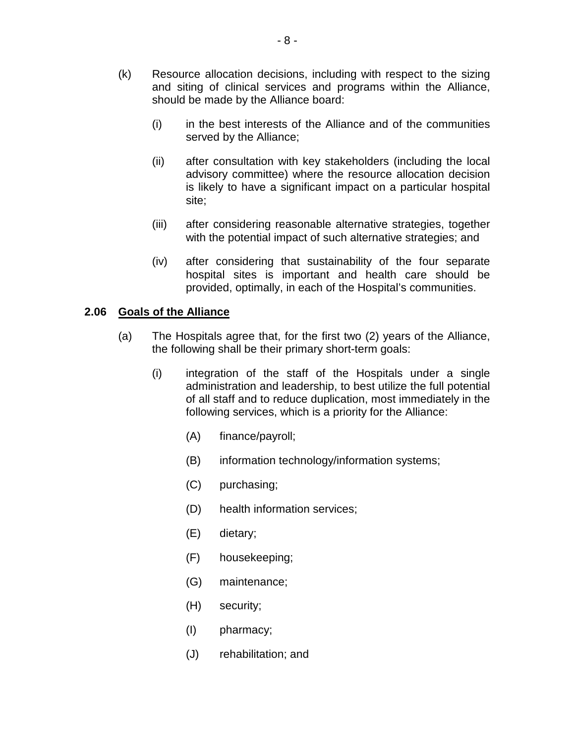- (k) Resource allocation decisions, including with respect to the sizing and siting of clinical services and programs within the Alliance, should be made by the Alliance board:
	- (i) in the best interests of the Alliance and of the communities served by the Alliance;
	- (ii) after consultation with key stakeholders (including the local advisory committee) where the resource allocation decision is likely to have a significant impact on a particular hospital site;
	- (iii) after considering reasonable alternative strategies, together with the potential impact of such alternative strategies; and
	- (iv) after considering that sustainability of the four separate hospital sites is important and health care should be provided, optimally, in each of the Hospital's communities.

#### <span id="page-10-0"></span>**2.06 Goals of the Alliance**

- (a) The Hospitals agree that, for the first two (2) years of the Alliance, the following shall be their primary short-term goals:
	- (i) integration of the staff of the Hospitals under a single administration and leadership, to best utilize the full potential of all staff and to reduce duplication, most immediately in the following services, which is a priority for the Alliance:
		- (A) finance/payroll;
		- (B) information technology/information systems;
		- (C) purchasing;
		- (D) health information services;
		- (E) dietary;
		- (F) housekeeping;
		- (G) maintenance;
		- (H) security;
		- (I) pharmacy;
		- (J) rehabilitation; and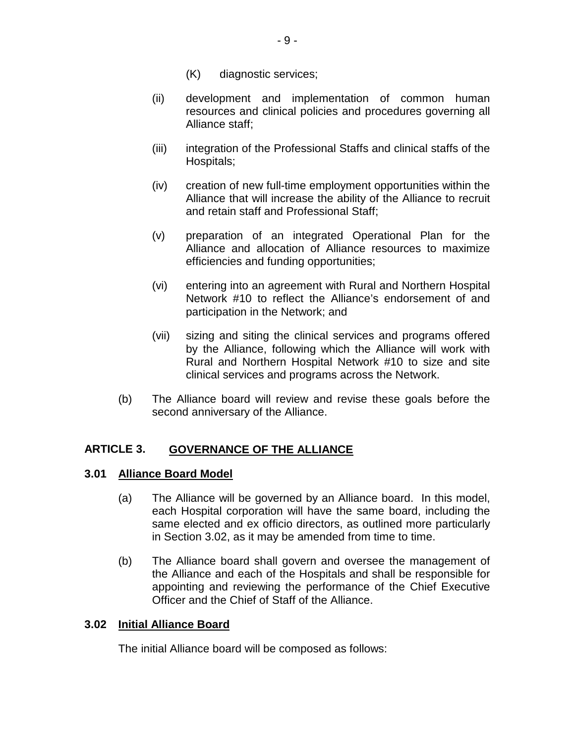- (K) diagnostic services;
- (ii) development and implementation of common human resources and clinical policies and procedures governing all Alliance staff;
- (iii) integration of the Professional Staffs and clinical staffs of the Hospitals;
- (iv) creation of new full-time employment opportunities within the Alliance that will increase the ability of the Alliance to recruit and retain staff and Professional Staff;
- (v) preparation of an integrated Operational Plan for the Alliance and allocation of Alliance resources to maximize efficiencies and funding opportunities;
- (vi) entering into an agreement with Rural and Northern Hospital Network #10 to reflect the Alliance's endorsement of and participation in the Network; and
- (vii) sizing and siting the clinical services and programs offered by the Alliance, following which the Alliance will work with Rural and Northern Hospital Network #10 to size and site clinical services and programs across the Network.
- (b) The Alliance board will review and revise these goals before the second anniversary of the Alliance.

#### <span id="page-11-0"></span>**ARTICLE 3. GOVERNANCE OF THE ALLIANCE**

#### <span id="page-11-1"></span>**3.01 Alliance Board Model**

- (a) The Alliance will be governed by an Alliance board. In this model, each Hospital corporation will have the same board, including the same elected and ex officio directors, as outlined more particularly in Section 3.02, as it may be amended from time to time.
- (b) The Alliance board shall govern and oversee the management of the Alliance and each of the Hospitals and shall be responsible for appointing and reviewing the performance of the Chief Executive Officer and the Chief of Staff of the Alliance.

#### <span id="page-11-2"></span>**3.02 Initial Alliance Board**

The initial Alliance board will be composed as follows: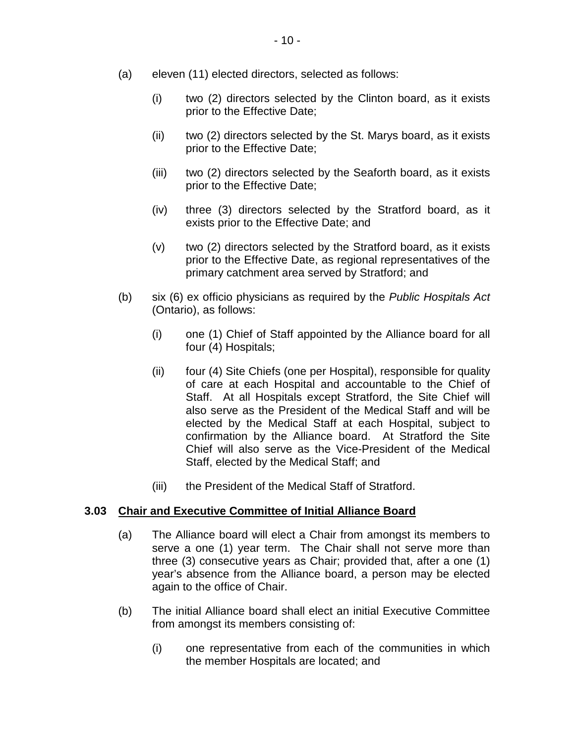- (a) eleven (11) elected directors, selected as follows:
	- (i) two (2) directors selected by the Clinton board, as it exists prior to the Effective Date;
	- (ii) two (2) directors selected by the St. Marys board, as it exists prior to the Effective Date;
	- (iii) two (2) directors selected by the Seaforth board, as it exists prior to the Effective Date;
	- (iv) three (3) directors selected by the Stratford board, as it exists prior to the Effective Date; and
	- (v) two (2) directors selected by the Stratford board, as it exists prior to the Effective Date, as regional representatives of the primary catchment area served by Stratford; and
- (b) six (6) ex officio physicians as required by the *Public Hospitals Act* (Ontario), as follows:
	- (i) one (1) Chief of Staff appointed by the Alliance board for all four (4) Hospitals;
	- (ii) four (4) Site Chiefs (one per Hospital), responsible for quality of care at each Hospital and accountable to the Chief of Staff. At all Hospitals except Stratford, the Site Chief will also serve as the President of the Medical Staff and will be elected by the Medical Staff at each Hospital, subject to confirmation by the Alliance board. At Stratford the Site Chief will also serve as the Vice-President of the Medical Staff, elected by the Medical Staff; and
	- (iii) the President of the Medical Staff of Stratford.

#### <span id="page-12-0"></span>**3.03 Chair and Executive Committee of Initial Alliance Board**

- (a) The Alliance board will elect a Chair from amongst its members to serve a one (1) year term. The Chair shall not serve more than three (3) consecutive years as Chair; provided that, after a one (1) year's absence from the Alliance board, a person may be elected again to the office of Chair.
- (b) The initial Alliance board shall elect an initial Executive Committee from amongst its members consisting of:
	- (i) one representative from each of the communities in which the member Hospitals are located; and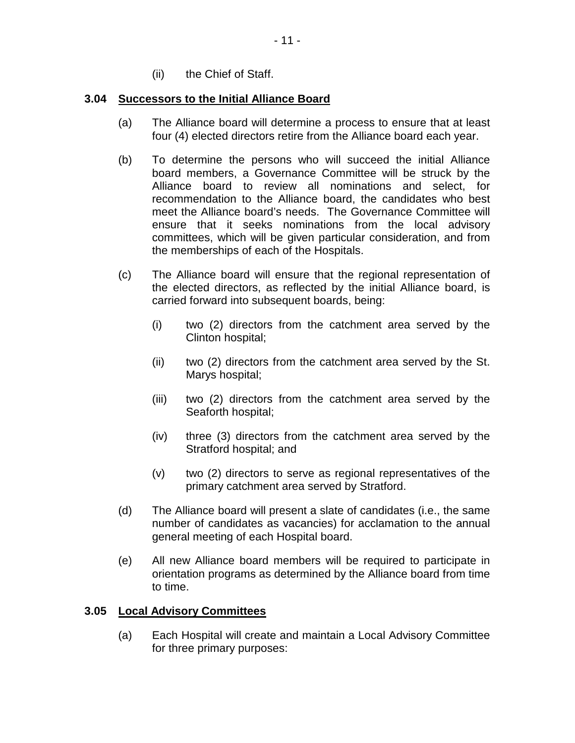(ii) the Chief of Staff.

### <span id="page-13-0"></span>**3.04 Successors to the Initial Alliance Board**

- (a) The Alliance board will determine a process to ensure that at least four (4) elected directors retire from the Alliance board each year.
- (b) To determine the persons who will succeed the initial Alliance board members, a Governance Committee will be struck by the Alliance board to review all nominations and select, for recommendation to the Alliance board, the candidates who best meet the Alliance board's needs. The Governance Committee will ensure that it seeks nominations from the local advisory committees, which will be given particular consideration, and from the memberships of each of the Hospitals.
- (c) The Alliance board will ensure that the regional representation of the elected directors, as reflected by the initial Alliance board, is carried forward into subsequent boards, being:
	- (i) two (2) directors from the catchment area served by the Clinton hospital;
	- (ii) two (2) directors from the catchment area served by the St. Marys hospital;
	- (iii) two (2) directors from the catchment area served by the Seaforth hospital;
	- (iv) three (3) directors from the catchment area served by the Stratford hospital; and
	- (v) two (2) directors to serve as regional representatives of the primary catchment area served by Stratford.
- (d) The Alliance board will present a slate of candidates (i.e., the same number of candidates as vacancies) for acclamation to the annual general meeting of each Hospital board.
- (e) All new Alliance board members will be required to participate in orientation programs as determined by the Alliance board from time to time.

### <span id="page-13-1"></span>**3.05 Local Advisory Committees**

(a) Each Hospital will create and maintain a Local Advisory Committee for three primary purposes: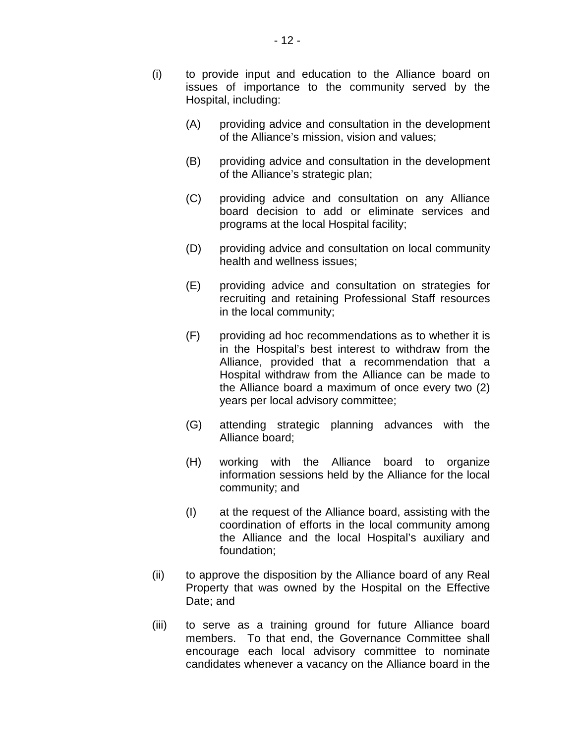- (i) to provide input and education to the Alliance board on issues of importance to the community served by the Hospital, including:
	- (A) providing advice and consultation in the development of the Alliance's mission, vision and values;
	- (B) providing advice and consultation in the development of the Alliance's strategic plan;
	- (C) providing advice and consultation on any Alliance board decision to add or eliminate services and programs at the local Hospital facility;
	- (D) providing advice and consultation on local community health and wellness issues;
	- (E) providing advice and consultation on strategies for recruiting and retaining Professional Staff resources in the local community;
	- (F) providing ad hoc recommendations as to whether it is in the Hospital's best interest to withdraw from the Alliance, provided that a recommendation that a Hospital withdraw from the Alliance can be made to the Alliance board a maximum of once every two (2) years per local advisory committee;
	- (G) attending strategic planning advances with the Alliance board;
	- (H) working with the Alliance board to organize information sessions held by the Alliance for the local community; and
	- (I) at the request of the Alliance board, assisting with the coordination of efforts in the local community among the Alliance and the local Hospital's auxiliary and foundation;
- (ii) to approve the disposition by the Alliance board of any Real Property that was owned by the Hospital on the Effective Date; and
- (iii) to serve as a training ground for future Alliance board members. To that end, the Governance Committee shall encourage each local advisory committee to nominate candidates whenever a vacancy on the Alliance board in the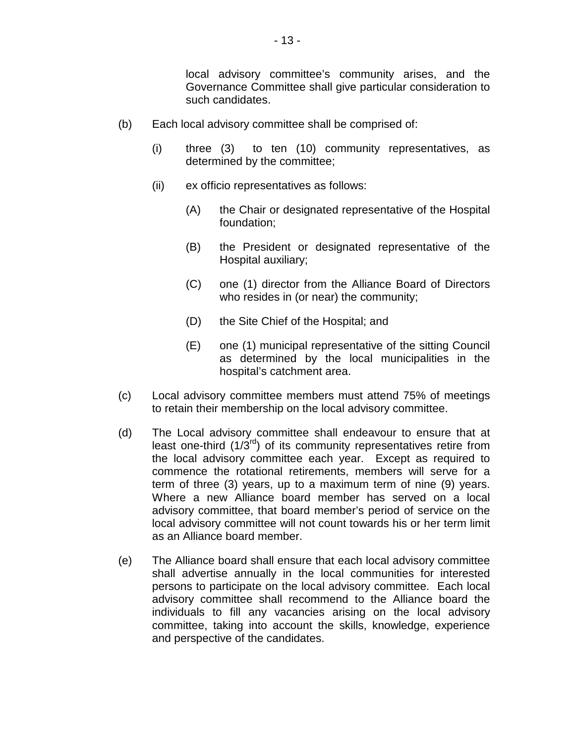local advisory committee's community arises, and the Governance Committee shall give particular consideration to such candidates.

- (b) Each local advisory committee shall be comprised of:
	- (i) three (3) to ten (10) community representatives, as determined by the committee;
	- (ii) ex officio representatives as follows:
		- (A) the Chair or designated representative of the Hospital foundation;
		- (B) the President or designated representative of the Hospital auxiliary;
		- (C) one (1) director from the Alliance Board of Directors who resides in (or near) the community;
		- (D) the Site Chief of the Hospital; and
		- (E) one (1) municipal representative of the sitting Council as determined by the local municipalities in the hospital's catchment area.
- (c) Local advisory committee members must attend 75% of meetings to retain their membership on the local advisory committee.
- (d) The Local advisory committee shall endeavour to ensure that at least one-third  $(1/3<sup>rd</sup>)$  of its community representatives retire from the local advisory committee each year. Except as required to commence the rotational retirements, members will serve for a term of three (3) years, up to a maximum term of nine (9) years. Where a new Alliance board member has served on a local advisory committee, that board member's period of service on the local advisory committee will not count towards his or her term limit as an Alliance board member.
- (e) The Alliance board shall ensure that each local advisory committee shall advertise annually in the local communities for interested persons to participate on the local advisory committee. Each local advisory committee shall recommend to the Alliance board the individuals to fill any vacancies arising on the local advisory committee, taking into account the skills, knowledge, experience and perspective of the candidates.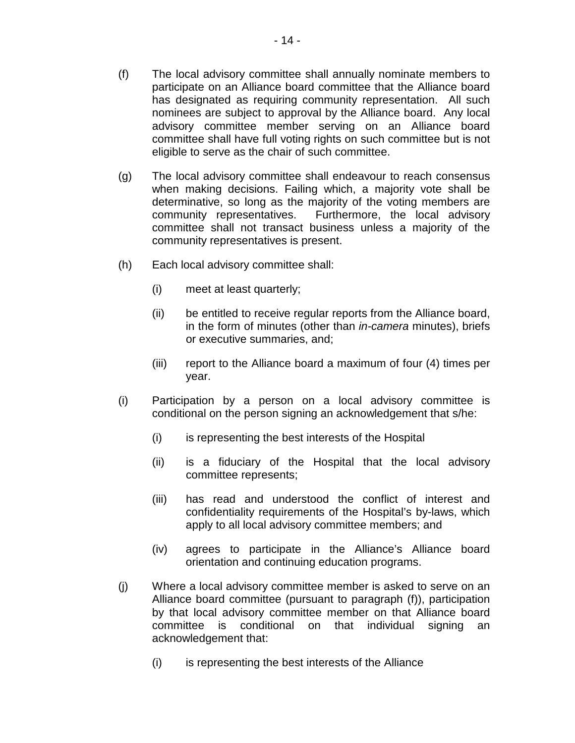- (f) The local advisory committee shall annually nominate members to participate on an Alliance board committee that the Alliance board has designated as requiring community representation. All such nominees are subject to approval by the Alliance board. Any local advisory committee member serving on an Alliance board committee shall have full voting rights on such committee but is not eligible to serve as the chair of such committee.
- (g) The local advisory committee shall endeavour to reach consensus when making decisions. Failing which, a majority vote shall be determinative, so long as the majority of the voting members are community representatives. Furthermore, the local advisory committee shall not transact business unless a majority of the community representatives is present.
- (h) Each local advisory committee shall:
	- (i) meet at least quarterly;
	- (ii) be entitled to receive regular reports from the Alliance board, in the form of minutes (other than *in-camera* minutes), briefs or executive summaries, and;
	- (iii) report to the Alliance board a maximum of four (4) times per year.
- (i) Participation by a person on a local advisory committee is conditional on the person signing an acknowledgement that s/he:
	- (i) is representing the best interests of the Hospital
	- (ii) is a fiduciary of the Hospital that the local advisory committee represents;
	- (iii) has read and understood the conflict of interest and confidentiality requirements of the Hospital's by-laws, which apply to all local advisory committee members; and
	- (iv) agrees to participate in the Alliance's Alliance board orientation and continuing education programs.
- (j) Where a local advisory committee member is asked to serve on an Alliance board committee (pursuant to paragraph (f)), participation by that local advisory committee member on that Alliance board committee is conditional on that individual signing an acknowledgement that:
	- (i) is representing the best interests of the Alliance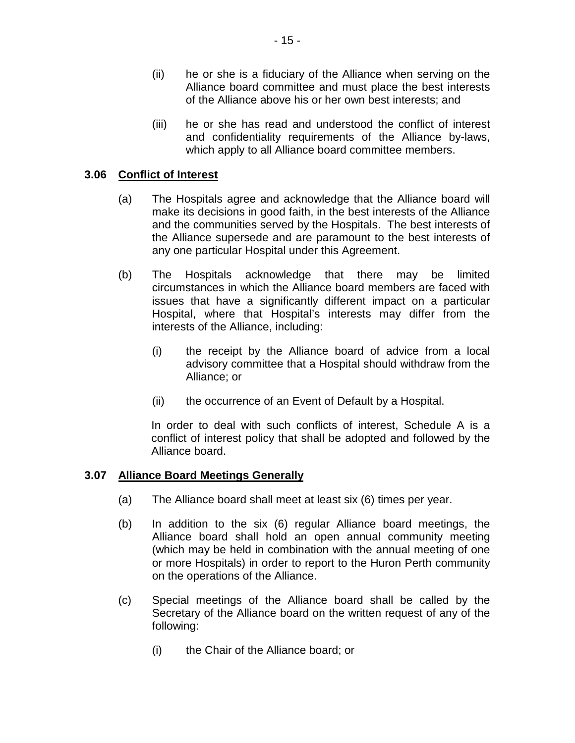- (ii) he or she is a fiduciary of the Alliance when serving on the Alliance board committee and must place the best interests of the Alliance above his or her own best interests; and
- (iii) he or she has read and understood the conflict of interest and confidentiality requirements of the Alliance by-laws, which apply to all Alliance board committee members.

### <span id="page-17-0"></span>**3.06 Conflict of Interest**

- (a) The Hospitals agree and acknowledge that the Alliance board will make its decisions in good faith, in the best interests of the Alliance and the communities served by the Hospitals. The best interests of the Alliance supersede and are paramount to the best interests of any one particular Hospital under this Agreement.
- (b) The Hospitals acknowledge that there may be limited circumstances in which the Alliance board members are faced with issues that have a significantly different impact on a particular Hospital, where that Hospital's interests may differ from the interests of the Alliance, including:
	- (i) the receipt by the Alliance board of advice from a local advisory committee that a Hospital should withdraw from the Alliance; or
	- (ii) the occurrence of an Event of Default by a Hospital.

In order to deal with such conflicts of interest, Schedule A is a conflict of interest policy that shall be adopted and followed by the Alliance board.

#### <span id="page-17-1"></span>**3.07 Alliance Board Meetings Generally**

- (a) The Alliance board shall meet at least six (6) times per year.
- (b) In addition to the six (6) regular Alliance board meetings, the Alliance board shall hold an open annual community meeting (which may be held in combination with the annual meeting of one or more Hospitals) in order to report to the Huron Perth community on the operations of the Alliance.
- (c) Special meetings of the Alliance board shall be called by the Secretary of the Alliance board on the written request of any of the following:
	- (i) the Chair of the Alliance board; or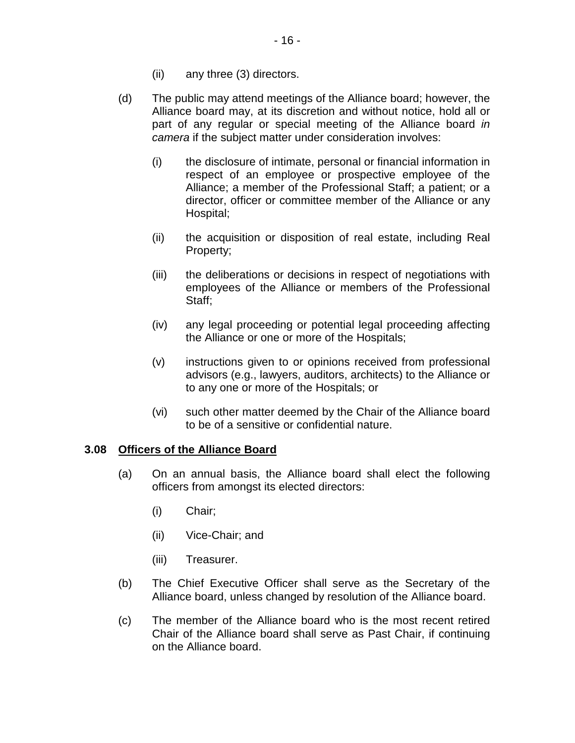- (ii) any three (3) directors.
- (d) The public may attend meetings of the Alliance board; however, the Alliance board may, at its discretion and without notice, hold all or part of any regular or special meeting of the Alliance board *in camera* if the subject matter under consideration involves:
	- (i) the disclosure of intimate, personal or financial information in respect of an employee or prospective employee of the Alliance; a member of the Professional Staff; a patient; or a director, officer or committee member of the Alliance or any Hospital;
	- (ii) the acquisition or disposition of real estate, including Real Property;
	- (iii) the deliberations or decisions in respect of negotiations with employees of the Alliance or members of the Professional Staff;
	- (iv) any legal proceeding or potential legal proceeding affecting the Alliance or one or more of the Hospitals;
	- (v) instructions given to or opinions received from professional advisors (e.g., lawyers, auditors, architects) to the Alliance or to any one or more of the Hospitals; or
	- (vi) such other matter deemed by the Chair of the Alliance board to be of a sensitive or confidential nature.

#### <span id="page-18-0"></span>**3.08 Officers of the Alliance Board**

- (a) On an annual basis, the Alliance board shall elect the following officers from amongst its elected directors:
	- (i) Chair;
	- (ii) Vice-Chair; and
	- (iii) Treasurer.
- (b) The Chief Executive Officer shall serve as the Secretary of the Alliance board, unless changed by resolution of the Alliance board.
- (c) The member of the Alliance board who is the most recent retired Chair of the Alliance board shall serve as Past Chair, if continuing on the Alliance board.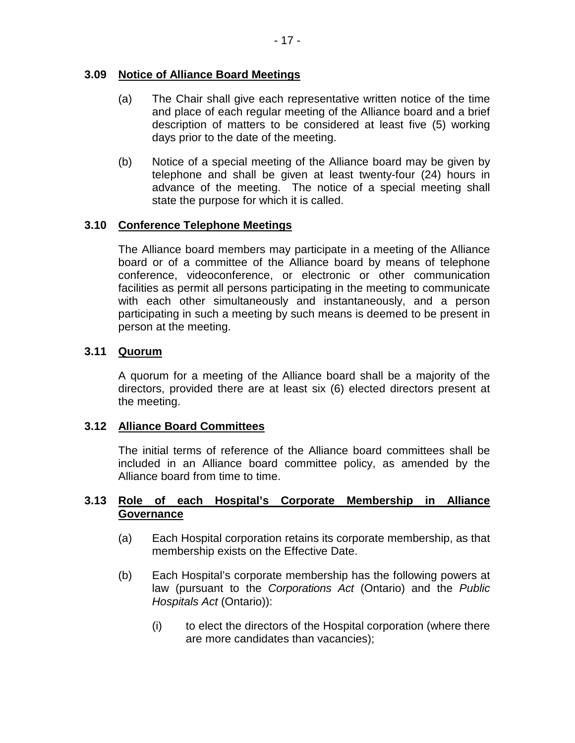# <span id="page-19-0"></span>**3.09 Notice of Alliance Board Meetings**

- (a) The Chair shall give each representative written notice of the time and place of each regular meeting of the Alliance board and a brief description of matters to be considered at least five (5) working days prior to the date of the meeting.
- (b) Notice of a special meeting of the Alliance board may be given by telephone and shall be given at least twenty-four (24) hours in advance of the meeting. The notice of a special meeting shall state the purpose for which it is called.

# <span id="page-19-1"></span>**3.10 Conference Telephone Meetings**

The Alliance board members may participate in a meeting of the Alliance board or of a committee of the Alliance board by means of telephone conference, videoconference, or electronic or other communication facilities as permit all persons participating in the meeting to communicate with each other simultaneously and instantaneously, and a person participating in such a meeting by such means is deemed to be present in person at the meeting.

### <span id="page-19-2"></span>**3.11 Quorum**

A quorum for a meeting of the Alliance board shall be a majority of the directors, provided there are at least six (6) elected directors present at the meeting.

### <span id="page-19-3"></span>**3.12 Alliance Board Committees**

The initial terms of reference of the Alliance board committees shall be included in an Alliance board committee policy, as amended by the Alliance board from time to time.

### <span id="page-19-4"></span>**3.13 Role of each Hospital's Corporate Membership in Alliance Governance**

- (a) Each Hospital corporation retains its corporate membership, as that membership exists on the Effective Date.
- (b) Each Hospital's corporate membership has the following powers at law (pursuant to the *Corporations Act* (Ontario) and the *Public Hospitals Act* (Ontario)):
	- (i) to elect the directors of the Hospital corporation (where there are more candidates than vacancies);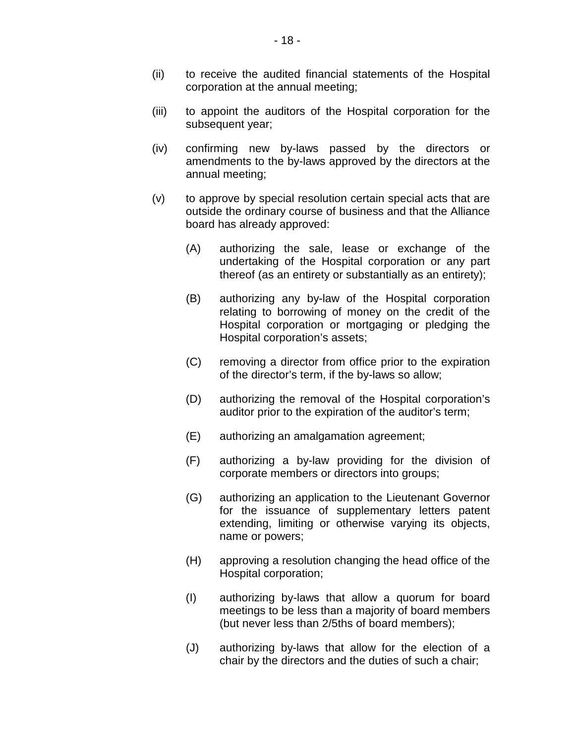- (ii) to receive the audited financial statements of the Hospital corporation at the annual meeting;
- (iii) to appoint the auditors of the Hospital corporation for the subsequent year;
- (iv) confirming new by-laws passed by the directors or amendments to the by-laws approved by the directors at the annual meeting;
- (v) to approve by special resolution certain special acts that are outside the ordinary course of business and that the Alliance board has already approved:
	- (A) authorizing the sale, lease or exchange of the undertaking of the Hospital corporation or any part thereof (as an entirety or substantially as an entirety);
	- (B) authorizing any by-law of the Hospital corporation relating to borrowing of money on the credit of the Hospital corporation or mortgaging or pledging the Hospital corporation's assets;
	- (C) removing a director from office prior to the expiration of the director's term, if the by-laws so allow;
	- (D) authorizing the removal of the Hospital corporation's auditor prior to the expiration of the auditor's term;
	- (E) authorizing an amalgamation agreement;
	- (F) authorizing a by-law providing for the division of corporate members or directors into groups;
	- (G) authorizing an application to the Lieutenant Governor for the issuance of supplementary letters patent extending, limiting or otherwise varying its objects, name or powers;
	- (H) approving a resolution changing the head office of the Hospital corporation;
	- (I) authorizing by-laws that allow a quorum for board meetings to be less than a majority of board members (but never less than 2/5ths of board members);
	- (J) authorizing by-laws that allow for the election of a chair by the directors and the duties of such a chair;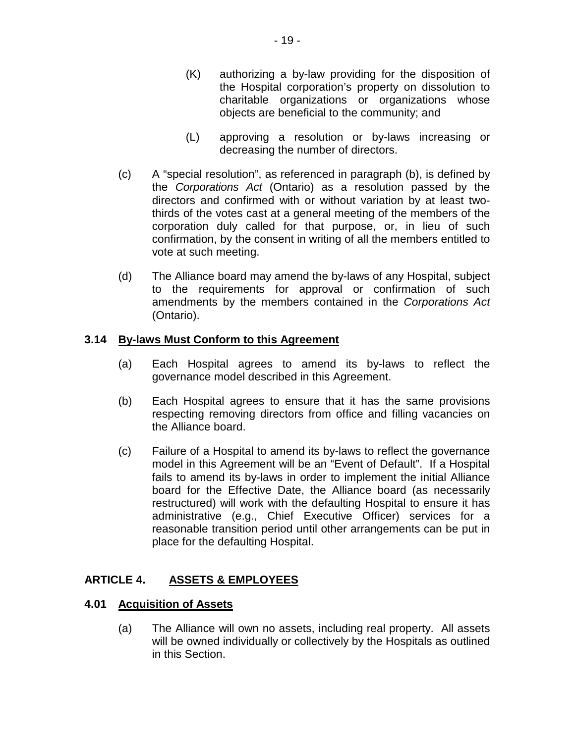- (K) authorizing a by-law providing for the disposition of the Hospital corporation's property on dissolution to charitable organizations or organizations whose objects are beneficial to the community; and
- (L) approving a resolution or by-laws increasing or decreasing the number of directors.
- (c) A "special resolution", as referenced in paragraph (b), is defined by the *Corporations Act* (Ontario) as a resolution passed by the directors and confirmed with or without variation by at least twothirds of the votes cast at a general meeting of the members of the corporation duly called for that purpose, or, in lieu of such confirmation, by the consent in writing of all the members entitled to vote at such meeting.
- (d) The Alliance board may amend the by-laws of any Hospital, subject to the requirements for approval or confirmation of such amendments by the members contained in the *Corporations Act* (Ontario).

# <span id="page-21-0"></span>**3.14 By-laws Must Conform to this Agreement**

- (a) Each Hospital agrees to amend its by-laws to reflect the governance model described in this Agreement.
- (b) Each Hospital agrees to ensure that it has the same provisions respecting removing directors from office and filling vacancies on the Alliance board.
- (c) Failure of a Hospital to amend its by-laws to reflect the governance model in this Agreement will be an "Event of Default". If a Hospital fails to amend its by-laws in order to implement the initial Alliance board for the Effective Date, the Alliance board (as necessarily restructured) will work with the defaulting Hospital to ensure it has administrative (e.g., Chief Executive Officer) services for a reasonable transition period until other arrangements can be put in place for the defaulting Hospital.

#### <span id="page-21-1"></span>**ARTICLE 4. ASSETS & EMPLOYEES**

#### <span id="page-21-3"></span><span id="page-21-2"></span>**4.01 Acquisition of Assets**

(a) The Alliance will own no assets, including real property. All assets will be owned individually or collectively by the Hospitals as outlined in this Section.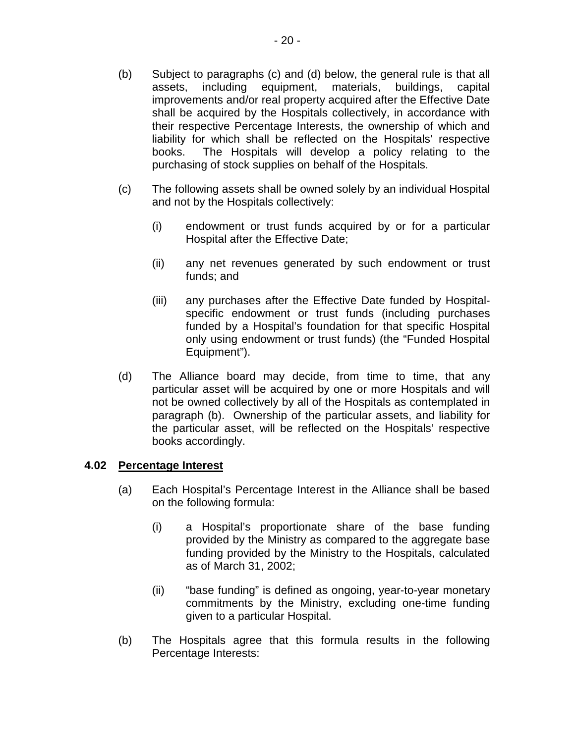- (b) Subject to paragraphs [\(c\)](#page-22-2) and [\(d\)](#page-22-3) below, the general rule is that all assets, including equipment, materials, buildings, capital improvements and/or real property acquired after the Effective Date shall be acquired by the Hospitals collectively, in accordance with their respective Percentage Interests, the ownership of which and liability for which shall be reflected on the Hospitals' respective books. The Hospitals will develop a policy relating to the purchasing of stock supplies on behalf of the Hospitals.
- <span id="page-22-2"></span>(c) The following assets shall be owned solely by an individual Hospital and not by the Hospitals collectively:
	- (i) endowment or trust funds acquired by or for a particular Hospital after the Effective Date;
	- (ii) any net revenues generated by such endowment or trust funds; and
	- (iii) any purchases after the Effective Date funded by Hospitalspecific endowment or trust funds (including purchases funded by a Hospital's foundation for that specific Hospital only using endowment or trust funds) (the "Funded Hospital Equipment").
- <span id="page-22-3"></span><span id="page-22-1"></span>(d) The Alliance board may decide, from time to time, that any particular asset will be acquired by one or more Hospitals and will not be owned collectively by all of the Hospitals as contemplated in paragraph (b). Ownership of the particular assets, and liability for the particular asset, will be reflected on the Hospitals' respective books accordingly.

# <span id="page-22-0"></span>**4.02 Percentage Interest**

- (a) Each Hospital's Percentage Interest in the Alliance shall be based on the following formula:
	- (i) a Hospital's proportionate share of the base funding provided by the Ministry as compared to the aggregate base funding provided by the Ministry to the Hospitals, calculated as of March 31, 2002;
	- (ii) "base funding" is defined as ongoing, year-to-year monetary commitments by the Ministry, excluding one-time funding given to a particular Hospital.
- (b) The Hospitals agree that this formula results in the following Percentage Interests: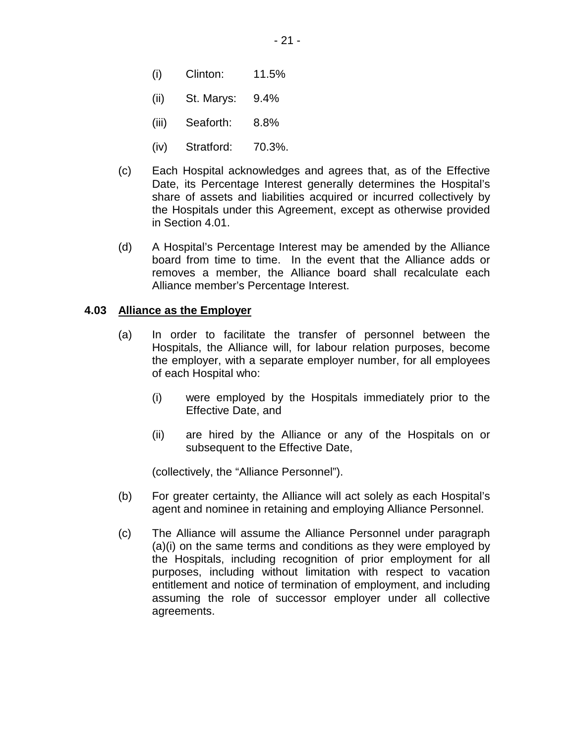- (i) Clinton: 11.5%
- (ii) St. Marys: 9.4%
- (iii) Seaforth: 8.8%
- (iv) Stratford: 70.3%.
- (c) Each Hospital acknowledges and agrees that, as of the Effective Date, its Percentage Interest generally determines the Hospital's share of assets and liabilities acquired or incurred collectively by the Hospitals under this Agreement, except as otherwise provided in Section [4.01.](#page-21-2)
- (d) A Hospital's Percentage Interest may be amended by the Alliance board from time to time. In the event that the Alliance adds or removes a member, the Alliance board shall recalculate each Alliance member's Percentage Interest.

#### <span id="page-23-0"></span>**4.03 Alliance as the Employer**

- (a) In order to facilitate the transfer of personnel between the Hospitals, the Alliance will, for labour relation purposes, become the employer, with a separate employer number, for all employees of each Hospital who:
	- (i) were employed by the Hospitals immediately prior to the Effective Date, and
	- (ii) are hired by the Alliance or any of the Hospitals on or subsequent to the Effective Date,

(collectively, the "Alliance Personnel").

- (b) For greater certainty, the Alliance will act solely as each Hospital's agent and nominee in retaining and employing Alliance Personnel.
- (c) The Alliance will assume the Alliance Personnel under paragraph (a)(i) on the same terms and conditions as they were employed by the Hospitals, including recognition of prior employment for all purposes, including without limitation with respect to vacation entitlement and notice of termination of employment, and including assuming the role of successor employer under all collective agreements.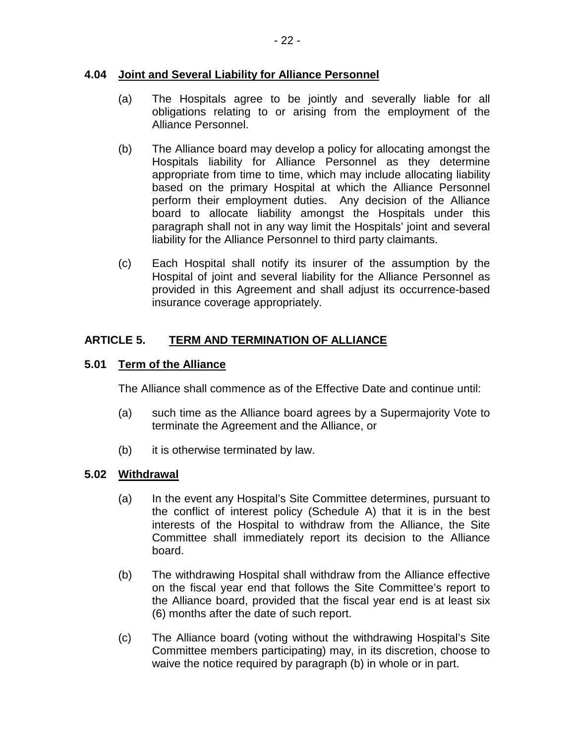#### <span id="page-24-0"></span>**4.04 Joint and Several Liability for Alliance Personnel**

- (a) The Hospitals agree to be jointly and severally liable for all obligations relating to or arising from the employment of the Alliance Personnel.
- (b) The Alliance board may develop a policy for allocating amongst the Hospitals liability for Alliance Personnel as they determine appropriate from time to time, which may include allocating liability based on the primary Hospital at which the Alliance Personnel perform their employment duties. Any decision of the Alliance board to allocate liability amongst the Hospitals under this paragraph shall not in any way limit the Hospitals' joint and several liability for the Alliance Personnel to third party claimants.
- (c) Each Hospital shall notify its insurer of the assumption by the Hospital of joint and several liability for the Alliance Personnel as provided in this Agreement and shall adjust its occurrence-based insurance coverage appropriately.

#### <span id="page-24-1"></span>**ARTICLE 5. TERM AND TERMINATION OF ALLIANCE**

#### <span id="page-24-2"></span>**5.01 Term of the Alliance**

The Alliance shall commence as of the Effective Date and continue until:

- (a) such time as the Alliance board agrees by a Supermajority Vote to terminate the Agreement and the Alliance, or
- (b) it is otherwise terminated by law.

### <span id="page-24-3"></span>**5.02 Withdrawal**

- (a) In the event any Hospital's Site Committee determines, pursuant to the conflict of interest policy (Schedule A) that it is in the best interests of the Hospital to withdraw from the Alliance, the Site Committee shall immediately report its decision to the Alliance board.
- (b) The withdrawing Hospital shall withdraw from the Alliance effective on the fiscal year end that follows the Site Committee's report to the Alliance board, provided that the fiscal year end is at least six (6) months after the date of such report.
- (c) The Alliance board (voting without the withdrawing Hospital's Site Committee members participating) may, in its discretion, choose to waive the notice required by paragraph (b) in whole or in part.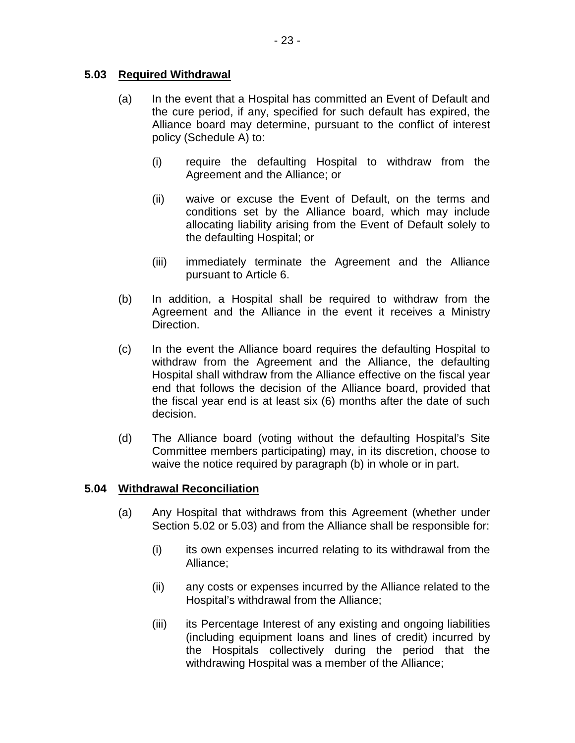### <span id="page-25-0"></span>**5.03 Required Withdrawal**

- (a) In the event that a Hospital has committed an Event of Default and the cure period, if any, specified for such default has expired, the Alliance board may determine, pursuant to the conflict of interest policy (Schedule A) to:
	- (i) require the defaulting Hospital to withdraw from the Agreement and the Alliance; or
	- (ii) waive or excuse the Event of Default, on the terms and conditions set by the Alliance board, which may include allocating liability arising from the Event of Default solely to the defaulting Hospital; or
	- (iii) immediately terminate the Agreement and the Alliance pursuant to Article 6.
- (b) In addition, a Hospital shall be required to withdraw from the Agreement and the Alliance in the event it receives a Ministry Direction.
- (c) In the event the Alliance board requires the defaulting Hospital to withdraw from the Agreement and the Alliance, the defaulting Hospital shall withdraw from the Alliance effective on the fiscal year end that follows the decision of the Alliance board, provided that the fiscal year end is at least six (6) months after the date of such decision.
- (d) The Alliance board (voting without the defaulting Hospital's Site Committee members participating) may, in its discretion, choose to waive the notice required by paragraph (b) in whole or in part.

#### <span id="page-25-1"></span>**5.04 Withdrawal Reconciliation**

- <span id="page-25-2"></span>(a) Any Hospital that withdraws from this Agreement (whether under Section 5.02 or 5.03) and from the Alliance shall be responsible for:
	- (i) its own expenses incurred relating to its withdrawal from the Alliance;
	- (ii) any costs or expenses incurred by the Alliance related to the Hospital's withdrawal from the Alliance;
	- (iii) its Percentage Interest of any existing and ongoing liabilities (including equipment loans and lines of credit) incurred by the Hospitals collectively during the period that the withdrawing Hospital was a member of the Alliance;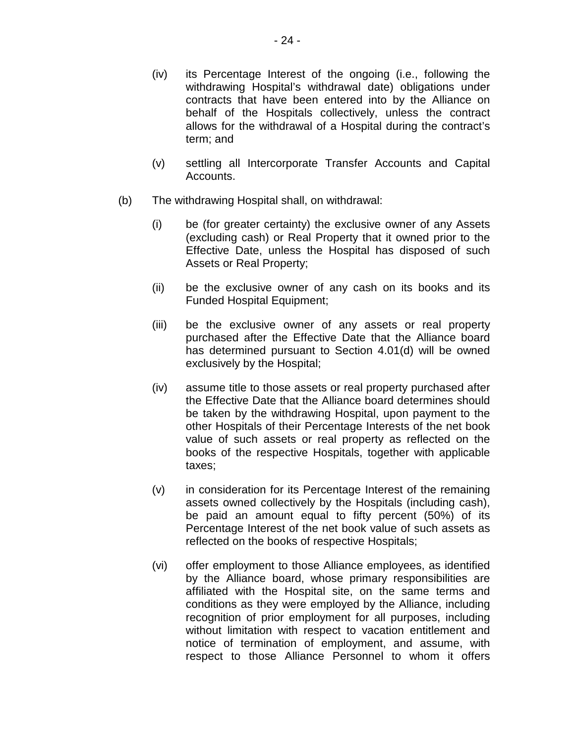- <span id="page-26-0"></span>(iv) its Percentage Interest of the ongoing (i.e., following the withdrawing Hospital's withdrawal date) obligations under contracts that have been entered into by the Alliance on behalf of the Hospitals collectively, unless the contract allows for the withdrawal of a Hospital during the contract's term; and
- (v) settling all Intercorporate Transfer Accounts and Capital Accounts.
- (b) The withdrawing Hospital shall, on withdrawal:
	- (i) be (for greater certainty) the exclusive owner of any Assets (excluding cash) or Real Property that it owned prior to the Effective Date, unless the Hospital has disposed of such Assets or Real Property;
	- (ii) be the exclusive owner of any cash on its books and its Funded Hospital Equipment;
	- (iii) be the exclusive owner of any assets or real property purchased after the Effective Date that the Alliance board has determined pursuant to Section [4.01\(d\)](#page-22-3) will be owned exclusively by the Hospital;
	- (iv) assume title to those assets or real property purchased after the Effective Date that the Alliance board determines should be taken by the withdrawing Hospital, upon payment to the other Hospitals of their Percentage Interests of the net book value of such assets or real property as reflected on the books of the respective Hospitals, together with applicable taxes;
	- (v) in consideration for its Percentage Interest of the remaining assets owned collectively by the Hospitals (including cash), be paid an amount equal to fifty percent (50%) of its Percentage Interest of the net book value of such assets as reflected on the books of respective Hospitals;
	- (vi) offer employment to those Alliance employees, as identified by the Alliance board, whose primary responsibilities are affiliated with the Hospital site, on the same terms and conditions as they were employed by the Alliance, including recognition of prior employment for all purposes, including without limitation with respect to vacation entitlement and notice of termination of employment, and assume, with respect to those Alliance Personnel to whom it offers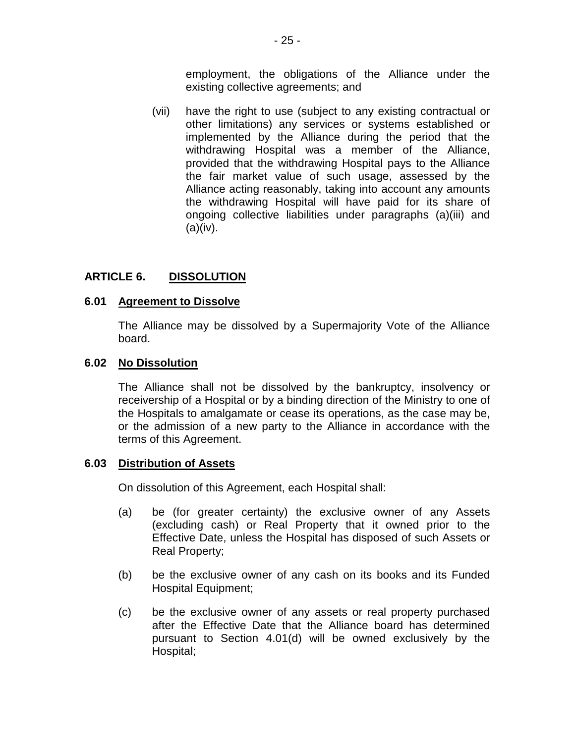employment, the obligations of the Alliance under the existing collective agreements; and

(vii) have the right to use (subject to any existing contractual or other limitations) any services or systems established or implemented by the Alliance during the period that the withdrawing Hospital was a member of the Alliance, provided that the withdrawing Hospital pays to the Alliance the fair market value of such usage, assessed by the Alliance acting reasonably, taking into account any amounts the withdrawing Hospital will have paid for its share of ongoing collective liabilities under paragraphs [\(a\)\(iii\)](#page-25-2) and  $(a)(iv)$ .

#### <span id="page-27-0"></span>**ARTICLE 6. DISSOLUTION**

### <span id="page-27-1"></span>**6.01 Agreement to Dissolve**

The Alliance may be dissolved by a Supermajority Vote of the Alliance board.

#### <span id="page-27-2"></span>**6.02 No Dissolution**

The Alliance shall not be dissolved by the bankruptcy, insolvency or receivership of a Hospital or by a binding direction of the Ministry to one of the Hospitals to amalgamate or cease its operations, as the case may be, or the admission of a new party to the Alliance in accordance with the terms of this Agreement.

### <span id="page-27-3"></span>**6.03 Distribution of Assets**

On dissolution of this Agreement, each Hospital shall:

- (a) be (for greater certainty) the exclusive owner of any Assets (excluding cash) or Real Property that it owned prior to the Effective Date, unless the Hospital has disposed of such Assets or Real Property;
- (b) be the exclusive owner of any cash on its books and its Funded Hospital Equipment;
- (c) be the exclusive owner of any assets or real property purchased after the Effective Date that the Alliance board has determined pursuant to Section [4.01\(d\)](#page-22-3) will be owned exclusively by the Hospital;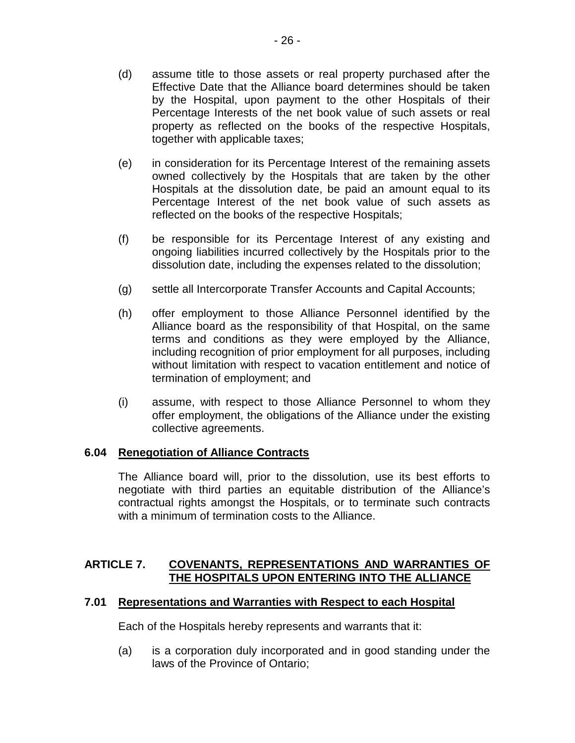- (d) assume title to those assets or real property purchased after the Effective Date that the Alliance board determines should be taken by the Hospital, upon payment to the other Hospitals of their Percentage Interests of the net book value of such assets or real property as reflected on the books of the respective Hospitals, together with applicable taxes;
- (e) in consideration for its Percentage Interest of the remaining assets owned collectively by the Hospitals that are taken by the other Hospitals at the dissolution date, be paid an amount equal to its Percentage Interest of the net book value of such assets as reflected on the books of the respective Hospitals;
- (f) be responsible for its Percentage Interest of any existing and ongoing liabilities incurred collectively by the Hospitals prior to the dissolution date, including the expenses related to the dissolution;
- (g) settle all Intercorporate Transfer Accounts and Capital Accounts;
- (h) offer employment to those Alliance Personnel identified by the Alliance board as the responsibility of that Hospital, on the same terms and conditions as they were employed by the Alliance, including recognition of prior employment for all purposes, including without limitation with respect to vacation entitlement and notice of termination of employment; and
- (i) assume, with respect to those Alliance Personnel to whom they offer employment, the obligations of the Alliance under the existing collective agreements.

### <span id="page-28-0"></span>**6.04 Renegotiation of Alliance Contracts**

The Alliance board will, prior to the dissolution, use its best efforts to negotiate with third parties an equitable distribution of the Alliance's contractual rights amongst the Hospitals, or to terminate such contracts with a minimum of termination costs to the Alliance.

#### <span id="page-28-1"></span>**ARTICLE 7. COVENANTS, REPRESENTATIONS AND WARRANTIES OF THE HOSPITALS UPON ENTERING INTO THE ALLIANCE**

#### <span id="page-28-2"></span>**7.01 Representations and Warranties with Respect to each Hospital**

Each of the Hospitals hereby represents and warrants that it:

(a) is a corporation duly incorporated and in good standing under the laws of the Province of Ontario;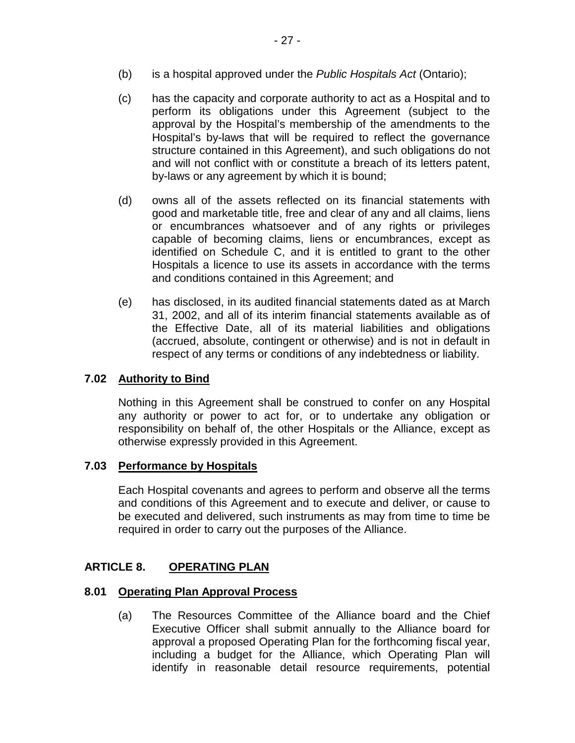- (b) is a hospital approved under the *Public Hospitals Act* (Ontario);
- (c) has the capacity and corporate authority to act as a Hospital and to perform its obligations under this Agreement (subject to the approval by the Hospital's membership of the amendments to the Hospital's by-laws that will be required to reflect the governance structure contained in this Agreement), and such obligations do not and will not conflict with or constitute a breach of its letters patent, by-laws or any agreement by which it is bound;
- (d) owns all of the assets reflected on its financial statements with good and marketable title, free and clear of any and all claims, liens or encumbrances whatsoever and of any rights or privileges capable of becoming claims, liens or encumbrances, except as identified on Schedule C, and it is entitled to grant to the other Hospitals a licence to use its assets in accordance with the terms and conditions contained in this Agreement; and
- (e) has disclosed, in its audited financial statements dated as at March 31, 2002, and all of its interim financial statements available as of the Effective Date, all of its material liabilities and obligations (accrued, absolute, contingent or otherwise) and is not in default in respect of any terms or conditions of any indebtedness or liability.

## <span id="page-29-0"></span>**7.02 Authority to Bind**

Nothing in this Agreement shall be construed to confer on any Hospital any authority or power to act for, or to undertake any obligation or responsibility on behalf of, the other Hospitals or the Alliance, except as otherwise expressly provided in this Agreement.

### <span id="page-29-1"></span>**7.03 Performance by Hospitals**

Each Hospital covenants and agrees to perform and observe all the terms and conditions of this Agreement and to execute and deliver, or cause to be executed and delivered, such instruments as may from time to time be required in order to carry out the purposes of the Alliance.

#### <span id="page-29-2"></span>**ARTICLE 8. OPERATING PLAN**

#### <span id="page-29-3"></span>**8.01 Operating Plan Approval Process**

(a) The Resources Committee of the Alliance board and the Chief Executive Officer shall submit annually to the Alliance board for approval a proposed Operating Plan for the forthcoming fiscal year, including a budget for the Alliance, which Operating Plan will identify in reasonable detail resource requirements, potential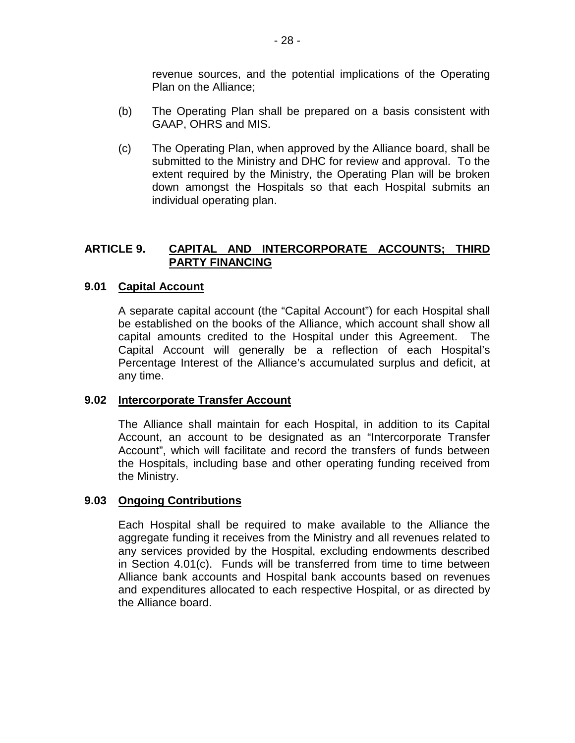revenue sources, and the potential implications of the Operating Plan on the Alliance;

- (b) The Operating Plan shall be prepared on a basis consistent with GAAP, OHRS and MIS.
- (c) The Operating Plan, when approved by the Alliance board, shall be submitted to the Ministry and DHC for review and approval. To the extent required by the Ministry, the Operating Plan will be broken down amongst the Hospitals so that each Hospital submits an individual operating plan.

#### <span id="page-30-0"></span>**ARTICLE 9. CAPITAL AND INTERCORPORATE ACCOUNTS; THIRD PARTY FINANCING**

#### <span id="page-30-1"></span>**9.01 Capital Account**

A separate capital account (the "Capital Account") for each Hospital shall be established on the books of the Alliance, which account shall show all capital amounts credited to the Hospital under this Agreement. The Capital Account will generally be a reflection of each Hospital's Percentage Interest of the Alliance's accumulated surplus and deficit, at any time.

### <span id="page-30-2"></span>**9.02 Intercorporate Transfer Account**

The Alliance shall maintain for each Hospital, in addition to its Capital Account, an account to be designated as an "Intercorporate Transfer Account", which will facilitate and record the transfers of funds between the Hospitals, including base and other operating funding received from the Ministry.

#### <span id="page-30-3"></span>**9.03 Ongoing Contributions**

Each Hospital shall be required to make available to the Alliance the aggregate funding it receives from the Ministry and all revenues related to any services provided by the Hospital, excluding endowments described in Section [4.01\(c\).](#page-22-2) Funds will be transferred from time to time between Alliance bank accounts and Hospital bank accounts based on revenues and expenditures allocated to each respective Hospital, or as directed by the Alliance board.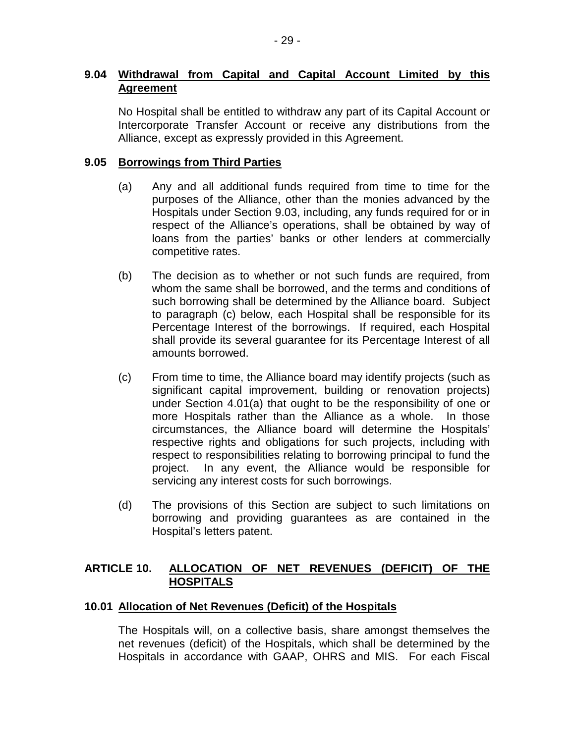#### <span id="page-31-0"></span>**9.04 Withdrawal from Capital and Capital Account Limited by this Agreement**

No Hospital shall be entitled to withdraw any part of its Capital Account or Intercorporate Transfer Account or receive any distributions from the Alliance, except as expressly provided in this Agreement.

#### <span id="page-31-1"></span>**9.05 Borrowings from Third Parties**

- (a) Any and all additional funds required from time to time for the purposes of the Alliance, other than the monies advanced by the Hospitals under Section [9.03,](#page-30-3) including, any funds required for or in respect of the Alliance's operations, shall be obtained by way of loans from the parties' banks or other lenders at commercially competitive rates.
- (b) The decision as to whether or not such funds are required, from whom the same shall be borrowed, and the terms and conditions of such borrowing shall be determined by the Alliance board. Subject to paragraph (c) below, each Hospital shall be responsible for its Percentage Interest of the borrowings. If required, each Hospital shall provide its several guarantee for its Percentage Interest of all amounts borrowed.
- (c) From time to time, the Alliance board may identify projects (such as significant capital improvement, building or renovation projects) under Section [4.01\(a\)](#page-21-3) that ought to be the responsibility of one or more Hospitals rather than the Alliance as a whole. In those circumstances, the Alliance board will determine the Hospitals' respective rights and obligations for such projects, including with respect to responsibilities relating to borrowing principal to fund the project. In any event, the Alliance would be responsible for servicing any interest costs for such borrowings.
- (d) The provisions of this Section are subject to such limitations on borrowing and providing guarantees as are contained in the Hospital's letters patent.

#### <span id="page-31-2"></span>**ARTICLE 10. ALLOCATION OF NET REVENUES (DEFICIT) OF THE HOSPITALS**

### <span id="page-31-3"></span>**10.01 Allocation of Net Revenues (Deficit) of the Hospitals**

The Hospitals will, on a collective basis, share amongst themselves the net revenues (deficit) of the Hospitals, which shall be determined by the Hospitals in accordance with GAAP, OHRS and MIS. For each Fiscal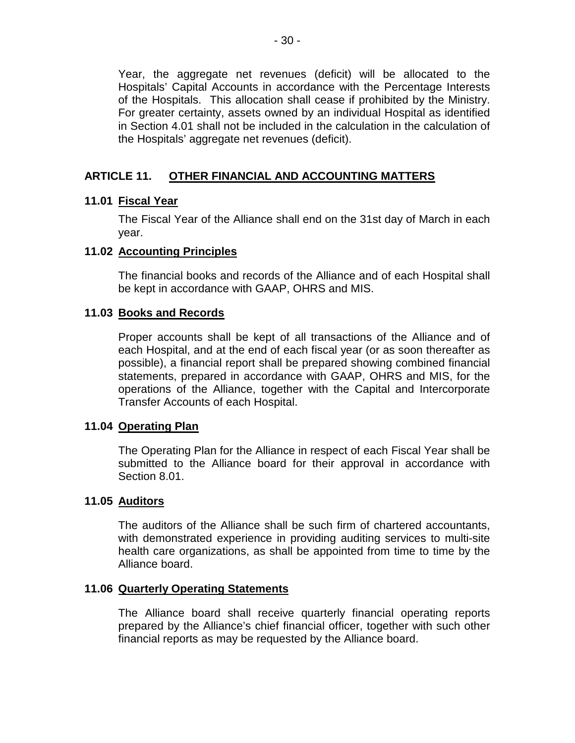Year, the aggregate net revenues (deficit) will be allocated to the Hospitals' Capital Accounts in accordance with the Percentage Interests of the Hospitals. This allocation shall cease if prohibited by the Ministry. For greater certainty, assets owned by an individual Hospital as identified in Section [4.01](#page-21-2) shall not be included in the calculation in the calculation of the Hospitals' aggregate net revenues (deficit).

#### <span id="page-32-0"></span>**ARTICLE 11. OTHER FINANCIAL AND ACCOUNTING MATTERS**

#### <span id="page-32-1"></span>**11.01 Fiscal Year**

The Fiscal Year of the Alliance shall end on the 31st day of March in each year.

#### <span id="page-32-2"></span>**11.02 Accounting Principles**

The financial books and records of the Alliance and of each Hospital shall be kept in accordance with GAAP, OHRS and MIS.

#### <span id="page-32-3"></span>**11.03 Books and Records**

Proper accounts shall be kept of all transactions of the Alliance and of each Hospital, and at the end of each fiscal year (or as soon thereafter as possible), a financial report shall be prepared showing combined financial statements, prepared in accordance with GAAP, OHRS and MIS, for the operations of the Alliance, together with the Capital and Intercorporate Transfer Accounts of each Hospital.

#### <span id="page-32-4"></span>**11.04 Operating Plan**

The Operating Plan for the Alliance in respect of each Fiscal Year shall be submitted to the Alliance board for their approval in accordance with Section [8.01.](#page-29-3)

#### <span id="page-32-5"></span>**11.05 Auditors**

The auditors of the Alliance shall be such firm of chartered accountants, with demonstrated experience in providing auditing services to multi-site health care organizations, as shall be appointed from time to time by the Alliance board.

#### <span id="page-32-6"></span>**11.06 Quarterly Operating Statements**

The Alliance board shall receive quarterly financial operating reports prepared by the Alliance's chief financial officer, together with such other financial reports as may be requested by the Alliance board.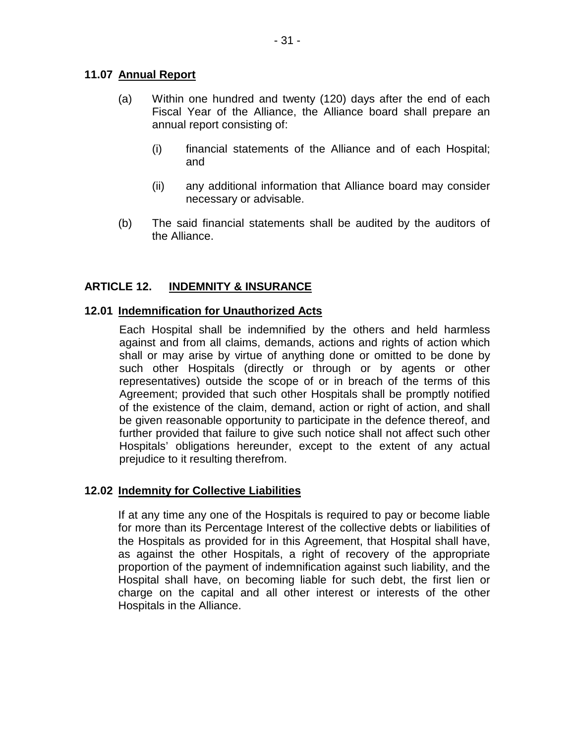# <span id="page-33-0"></span>**11.07 Annual Report**

- (a) Within one hundred and twenty (120) days after the end of each Fiscal Year of the Alliance, the Alliance board shall prepare an annual report consisting of:
	- (i) financial statements of the Alliance and of each Hospital; and
	- (ii) any additional information that Alliance board may consider necessary or advisable.
- (b) The said financial statements shall be audited by the auditors of the Alliance.

#### <span id="page-33-1"></span>**ARTICLE 12. INDEMNITY & INSURANCE**

### <span id="page-33-2"></span>**12.01 Indemnification for Unauthorized Acts**

Each Hospital shall be indemnified by the others and held harmless against and from all claims, demands, actions and rights of action which shall or may arise by virtue of anything done or omitted to be done by such other Hospitals (directly or through or by agents or other representatives) outside the scope of or in breach of the terms of this Agreement; provided that such other Hospitals shall be promptly notified of the existence of the claim, demand, action or right of action, and shall be given reasonable opportunity to participate in the defence thereof, and further provided that failure to give such notice shall not affect such other Hospitals' obligations hereunder, except to the extent of any actual prejudice to it resulting therefrom.

# <span id="page-33-3"></span>**12.02 Indemnity for Collective Liabilities**

If at any time any one of the Hospitals is required to pay or become liable for more than its Percentage Interest of the collective debts or liabilities of the Hospitals as provided for in this Agreement, that Hospital shall have, as against the other Hospitals, a right of recovery of the appropriate proportion of the payment of indemnification against such liability, and the Hospital shall have, on becoming liable for such debt, the first lien or charge on the capital and all other interest or interests of the other Hospitals in the Alliance.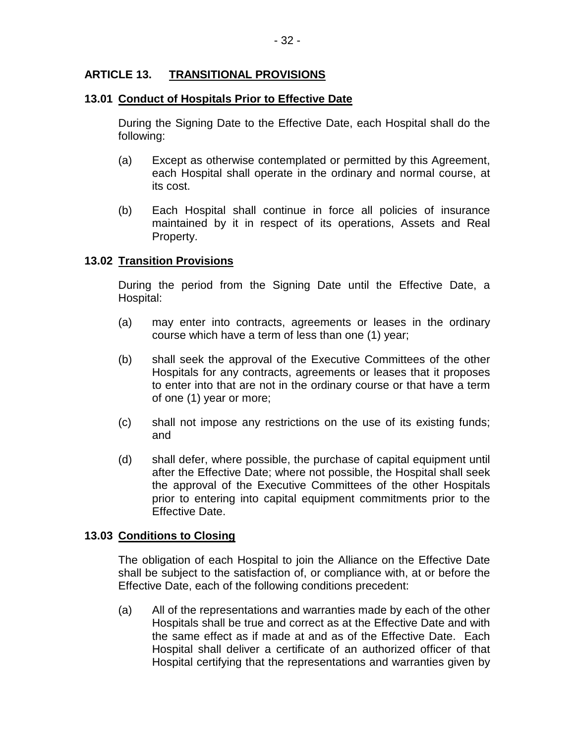#### <span id="page-34-0"></span>**ARTICLE 13. TRANSITIONAL PROVISIONS**

# <span id="page-34-1"></span>**13.01 Conduct of Hospitals Prior to Effective Date**

During the Signing Date to the Effective Date, each Hospital shall do the following:

- (a) Except as otherwise contemplated or permitted by this Agreement, each Hospital shall operate in the ordinary and normal course, at its cost.
- (b) Each Hospital shall continue in force all policies of insurance maintained by it in respect of its operations, Assets and Real Property.

### <span id="page-34-2"></span>**13.02 Transition Provisions**

During the period from the Signing Date until the Effective Date, a Hospital:

- (a) may enter into contracts, agreements or leases in the ordinary course which have a term of less than one (1) year;
- (b) shall seek the approval of the Executive Committees of the other Hospitals for any contracts, agreements or leases that it proposes to enter into that are not in the ordinary course or that have a term of one (1) year or more;
- (c) shall not impose any restrictions on the use of its existing funds; and
- (d) shall defer, where possible, the purchase of capital equipment until after the Effective Date; where not possible, the Hospital shall seek the approval of the Executive Committees of the other Hospitals prior to entering into capital equipment commitments prior to the Effective Date.

#### <span id="page-34-3"></span>**13.03 Conditions to Closing**

The obligation of each Hospital to join the Alliance on the Effective Date shall be subject to the satisfaction of, or compliance with, at or before the Effective Date, each of the following conditions precedent:

(a) All of the representations and warranties made by each of the other Hospitals shall be true and correct as at the Effective Date and with the same effect as if made at and as of the Effective Date. Each Hospital shall deliver a certificate of an authorized officer of that Hospital certifying that the representations and warranties given by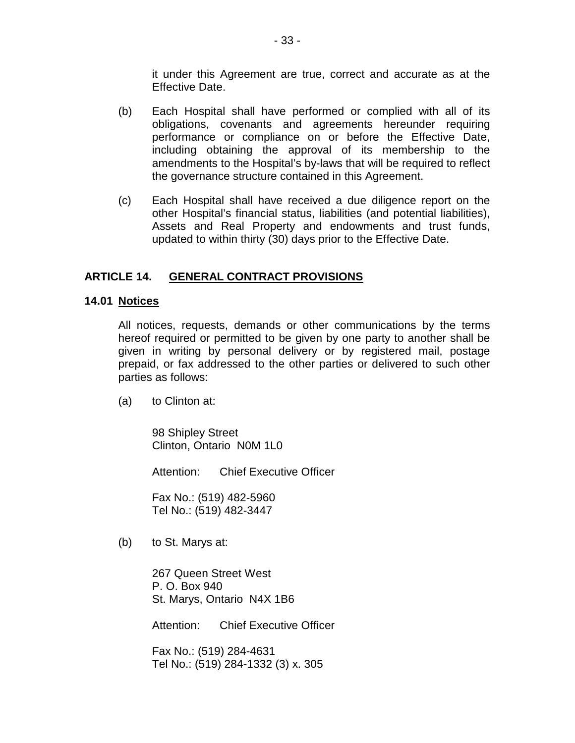it under this Agreement are true, correct and accurate as at the Effective Date.

- (b) Each Hospital shall have performed or complied with all of its obligations, covenants and agreements hereunder requiring performance or compliance on or before the Effective Date, including obtaining the approval of its membership to the amendments to the Hospital's by-laws that will be required to reflect the governance structure contained in this Agreement.
- (c) Each Hospital shall have received a due diligence report on the other Hospital's financial status, liabilities (and potential liabilities), Assets and Real Property and endowments and trust funds, updated to within thirty (30) days prior to the Effective Date.

#### <span id="page-35-0"></span>**ARTICLE 14. GENERAL CONTRACT PROVISIONS**

### <span id="page-35-1"></span>**14.01 Notices**

All notices, requests, demands or other communications by the terms hereof required or permitted to be given by one party to another shall be given in writing by personal delivery or by registered mail, postage prepaid, or fax addressed to the other parties or delivered to such other parties as follows:

(a) to Clinton at:

98 Shipley Street Clinton, Ontario N0M 1L0

Attention: Chief Executive Officer

Fax No.: (519) 482-5960 Tel No.: (519) 482-3447

(b) to St. Marys at:

267 Queen Street West P. O. Box 940 St. Marys, Ontario N4X 1B6

Attention: Chief Executive Officer

Fax No.: (519) 284-4631 Tel No.: (519) 284-1332 (3) x. 305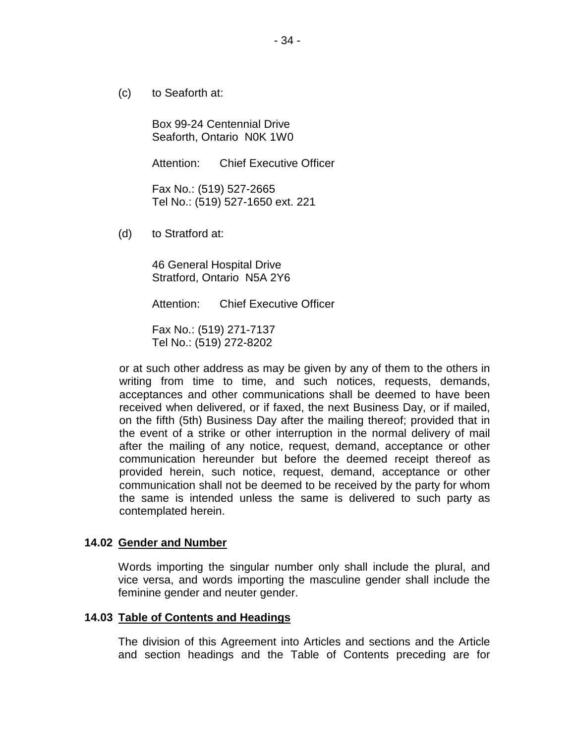(c) to Seaforth at:

Box 99-24 Centennial Drive Seaforth, Ontario N0K 1W0

Attention: Chief Executive Officer

Fax No.: (519) 527-2665 Tel No.: (519) 527-1650 ext. 221

(d) to Stratford at:

46 General Hospital Drive Stratford, Ontario N5A 2Y6

Attention: Chief Executive Officer

Fax No.: (519) 271-7137 Tel No.: (519) 272-8202

or at such other address as may be given by any of them to the others in writing from time to time, and such notices, requests, demands, acceptances and other communications shall be deemed to have been received when delivered, or if faxed, the next Business Day, or if mailed, on the fifth (5th) Business Day after the mailing thereof; provided that in the event of a strike or other interruption in the normal delivery of mail after the mailing of any notice, request, demand, acceptance or other communication hereunder but before the deemed receipt thereof as provided herein, such notice, request, demand, acceptance or other communication shall not be deemed to be received by the party for whom the same is intended unless the same is delivered to such party as contemplated herein.

#### <span id="page-36-0"></span>**14.02 Gender and Number**

Words importing the singular number only shall include the plural, and vice versa, and words importing the masculine gender shall include the feminine gender and neuter gender.

#### <span id="page-36-1"></span>**14.03 Table of Contents and Headings**

The division of this Agreement into Articles and sections and the Article and section headings and the Table of Contents preceding are for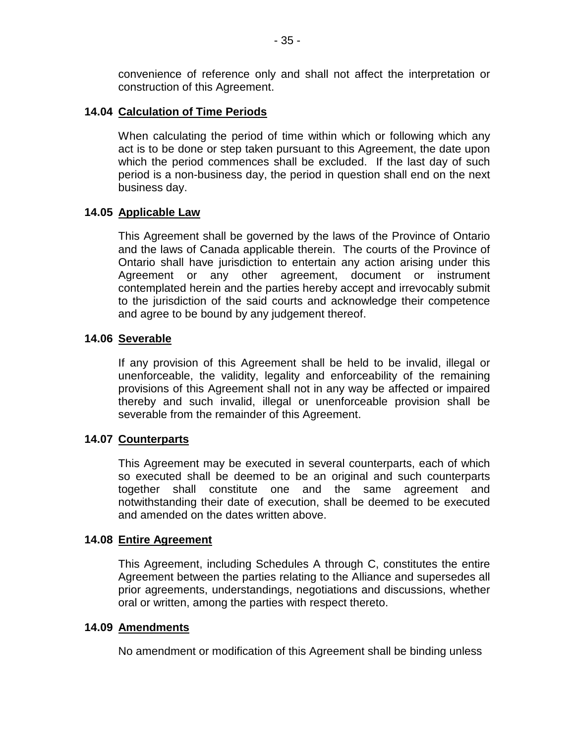convenience of reference only and shall not affect the interpretation or construction of this Agreement.

### <span id="page-37-0"></span>**14.04 Calculation of Time Periods**

When calculating the period of time within which or following which any act is to be done or step taken pursuant to this Agreement, the date upon which the period commences shall be excluded. If the last day of such period is a non-business day, the period in question shall end on the next business day.

### <span id="page-37-1"></span>**14.05 Applicable Law**

This Agreement shall be governed by the laws of the Province of Ontario and the laws of Canada applicable therein. The courts of the Province of Ontario shall have jurisdiction to entertain any action arising under this Agreement or any other agreement, document or instrument contemplated herein and the parties hereby accept and irrevocably submit to the jurisdiction of the said courts and acknowledge their competence and agree to be bound by any judgement thereof.

#### <span id="page-37-2"></span>**14.06 Severable**

If any provision of this Agreement shall be held to be invalid, illegal or unenforceable, the validity, legality and enforceability of the remaining provisions of this Agreement shall not in any way be affected or impaired thereby and such invalid, illegal or unenforceable provision shall be severable from the remainder of this Agreement.

#### <span id="page-37-3"></span>**14.07 Counterparts**

This Agreement may be executed in several counterparts, each of which so executed shall be deemed to be an original and such counterparts together shall constitute one and the same agreement and notwithstanding their date of execution, shall be deemed to be executed and amended on the dates written above.

### <span id="page-37-4"></span>**14.08 Entire Agreement**

This Agreement, including Schedules A through C, constitutes the entire Agreement between the parties relating to the Alliance and supersedes all prior agreements, understandings, negotiations and discussions, whether oral or written, among the parties with respect thereto.

#### <span id="page-37-5"></span>**14.09 Amendments**

No amendment or modification of this Agreement shall be binding unless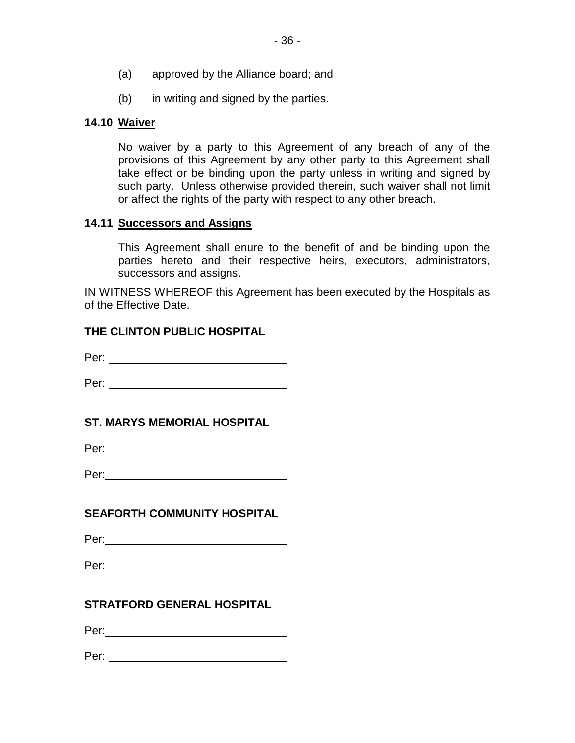(b) in writing and signed by the parties.

# <span id="page-38-0"></span>**14.10 Waiver**

No waiver by a party to this Agreement of any breach of any of the provisions of this Agreement by any other party to this Agreement shall take effect or be binding upon the party unless in writing and signed by such party. Unless otherwise provided therein, such waiver shall not limit or affect the rights of the party with respect to any other breach.

### <span id="page-38-1"></span>**14.11 Successors and Assigns**

This Agreement shall enure to the benefit of and be binding upon the parties hereto and their respective heirs, executors, administrators, successors and assigns.

IN WITNESS WHEREOF this Agreement has been executed by the Hospitals as of the Effective Date.

## **THE CLINTON PUBLIC HOSPITAL**

Per:

Per:

## **ST. MARYS MEMORIAL HOSPITAL**

Per: New York (1999) 2014

| Per: |  |
|------|--|
|------|--|

# **SEAFORTH COMMUNITY HOSPITAL**

Per: when the contract of the contract of the contract of the contract of the contract of the contract of the contract of the contract of the contract of the contract of the contract of the contract of the contract of the

Per: when the contract of the contract of the contract of the contract of the contract of the contract of the contract of the contract of the contract of the contract of the contract of the contract of the contract of the

## **STRATFORD GENERAL HOSPITAL**

Per: when the contract of the contract of the contract of the contract of the contract of the contract of the contract of the contract of the contract of the contract of the contract of the contract of the contract of the

Per: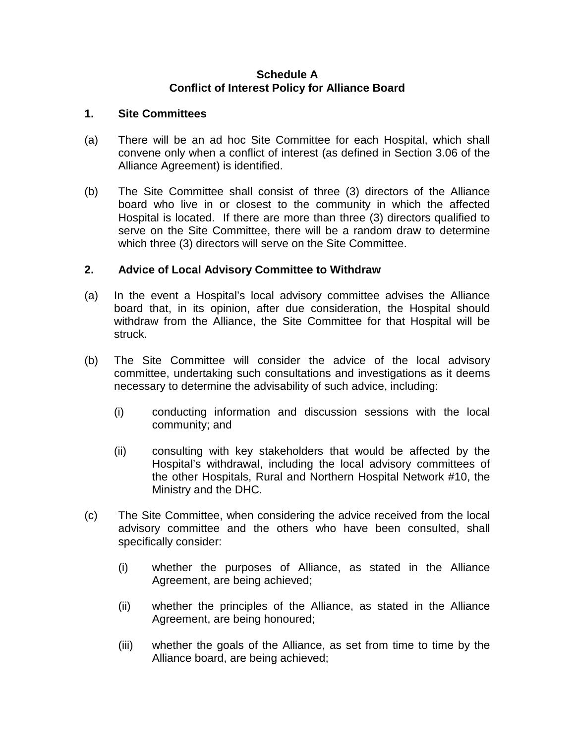#### **Schedule A Conflict of Interest Policy for Alliance Board**

#### **1. Site Committees**

- (a) There will be an ad hoc Site Committee for each Hospital, which shall convene only when a conflict of interest (as defined in Section 3.06 of the Alliance Agreement) is identified.
- (b) The Site Committee shall consist of three (3) directors of the Alliance board who live in or closest to the community in which the affected Hospital is located. If there are more than three (3) directors qualified to serve on the Site Committee, there will be a random draw to determine which three (3) directors will serve on the Site Committee.

## **2. Advice of Local Advisory Committee to Withdraw**

- (a) In the event a Hospital's local advisory committee advises the Alliance board that, in its opinion, after due consideration, the Hospital should withdraw from the Alliance, the Site Committee for that Hospital will be struck.
- (b) The Site Committee will consider the advice of the local advisory committee, undertaking such consultations and investigations as it deems necessary to determine the advisability of such advice, including:
	- (i) conducting information and discussion sessions with the local community; and
	- (ii) consulting with key stakeholders that would be affected by the Hospital's withdrawal, including the local advisory committees of the other Hospitals, Rural and Northern Hospital Network #10, the Ministry and the DHC.
- (c) The Site Committee, when considering the advice received from the local advisory committee and the others who have been consulted, shall specifically consider:
	- (i) whether the purposes of Alliance, as stated in the Alliance Agreement, are being achieved;
	- (ii) whether the principles of the Alliance, as stated in the Alliance Agreement, are being honoured;
	- (iii) whether the goals of the Alliance, as set from time to time by the Alliance board, are being achieved;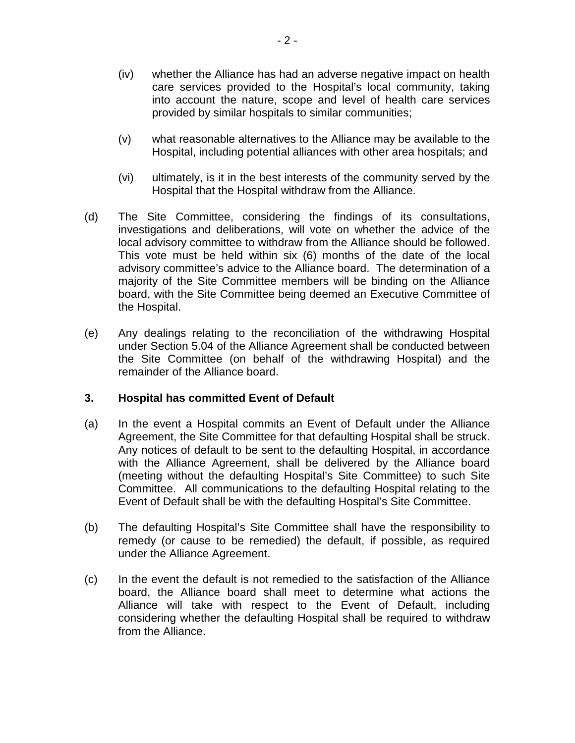- (iv) whether the Alliance has had an adverse negative impact on health care services provided to the Hospital's local community, taking into account the nature, scope and level of health care services provided by similar hospitals to similar communities;
- (v) what reasonable alternatives to the Alliance may be available to the Hospital, including potential alliances with other area hospitals; and
- (vi) ultimately, is it in the best interests of the community served by the Hospital that the Hospital withdraw from the Alliance.
- (d) The Site Committee, considering the findings of its consultations, investigations and deliberations, will vote on whether the advice of the local advisory committee to withdraw from the Alliance should be followed. This vote must be held within six (6) months of the date of the local advisory committee's advice to the Alliance board. The determination of a majority of the Site Committee members will be binding on the Alliance board, with the Site Committee being deemed an Executive Committee of the Hospital.
- (e) Any dealings relating to the reconciliation of the withdrawing Hospital under Section 5.04 of the Alliance Agreement shall be conducted between the Site Committee (on behalf of the withdrawing Hospital) and the remainder of the Alliance board.

#### **3. Hospital has committed Event of Default**

- (a) In the event a Hospital commits an Event of Default under the Alliance Agreement, the Site Committee for that defaulting Hospital shall be struck. Any notices of default to be sent to the defaulting Hospital, in accordance with the Alliance Agreement, shall be delivered by the Alliance board (meeting without the defaulting Hospital's Site Committee) to such Site Committee. All communications to the defaulting Hospital relating to the Event of Default shall be with the defaulting Hospital's Site Committee.
- (b) The defaulting Hospital's Site Committee shall have the responsibility to remedy (or cause to be remedied) the default, if possible, as required under the Alliance Agreement.
- (c) In the event the default is not remedied to the satisfaction of the Alliance board, the Alliance board shall meet to determine what actions the Alliance will take with respect to the Event of Default, including considering whether the defaulting Hospital shall be required to withdraw from the Alliance.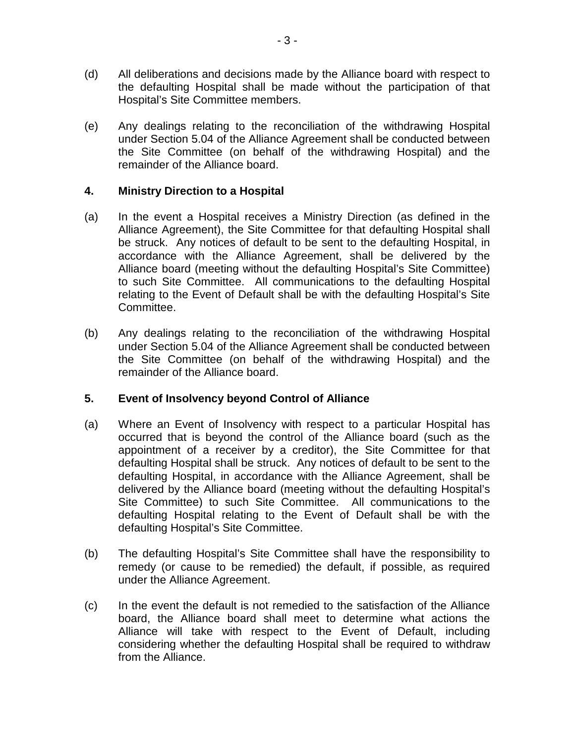- (d) All deliberations and decisions made by the Alliance board with respect to the defaulting Hospital shall be made without the participation of that Hospital's Site Committee members.
- (e) Any dealings relating to the reconciliation of the withdrawing Hospital under Section 5.04 of the Alliance Agreement shall be conducted between the Site Committee (on behalf of the withdrawing Hospital) and the remainder of the Alliance board.

### **4. Ministry Direction to a Hospital**

- (a) In the event a Hospital receives a Ministry Direction (as defined in the Alliance Agreement), the Site Committee for that defaulting Hospital shall be struck. Any notices of default to be sent to the defaulting Hospital, in accordance with the Alliance Agreement, shall be delivered by the Alliance board (meeting without the defaulting Hospital's Site Committee) to such Site Committee. All communications to the defaulting Hospital relating to the Event of Default shall be with the defaulting Hospital's Site Committee.
- (b) Any dealings relating to the reconciliation of the withdrawing Hospital under Section 5.04 of the Alliance Agreement shall be conducted between the Site Committee (on behalf of the withdrawing Hospital) and the remainder of the Alliance board.

## **5. Event of Insolvency beyond Control of Alliance**

- (a) Where an Event of Insolvency with respect to a particular Hospital has occurred that is beyond the control of the Alliance board (such as the appointment of a receiver by a creditor), the Site Committee for that defaulting Hospital shall be struck. Any notices of default to be sent to the defaulting Hospital, in accordance with the Alliance Agreement, shall be delivered by the Alliance board (meeting without the defaulting Hospital's Site Committee) to such Site Committee. All communications to the defaulting Hospital relating to the Event of Default shall be with the defaulting Hospital's Site Committee.
- (b) The defaulting Hospital's Site Committee shall have the responsibility to remedy (or cause to be remedied) the default, if possible, as required under the Alliance Agreement.
- (c) In the event the default is not remedied to the satisfaction of the Alliance board, the Alliance board shall meet to determine what actions the Alliance will take with respect to the Event of Default, including considering whether the defaulting Hospital shall be required to withdraw from the Alliance.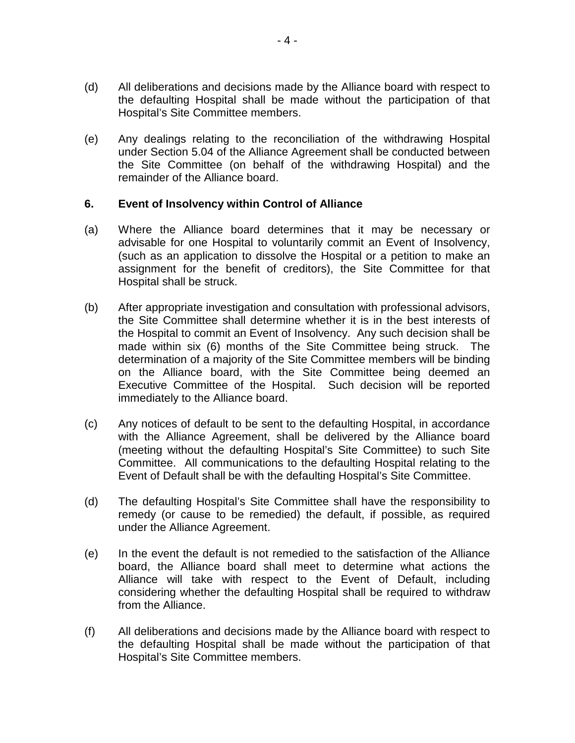- (d) All deliberations and decisions made by the Alliance board with respect to the defaulting Hospital shall be made without the participation of that Hospital's Site Committee members.
- (e) Any dealings relating to the reconciliation of the withdrawing Hospital under Section 5.04 of the Alliance Agreement shall be conducted between the Site Committee (on behalf of the withdrawing Hospital) and the remainder of the Alliance board.

### **6. Event of Insolvency within Control of Alliance**

- (a) Where the Alliance board determines that it may be necessary or advisable for one Hospital to voluntarily commit an Event of Insolvency, (such as an application to dissolve the Hospital or a petition to make an assignment for the benefit of creditors), the Site Committee for that Hospital shall be struck.
- (b) After appropriate investigation and consultation with professional advisors, the Site Committee shall determine whether it is in the best interests of the Hospital to commit an Event of Insolvency. Any such decision shall be made within six (6) months of the Site Committee being struck. The determination of a majority of the Site Committee members will be binding on the Alliance board, with the Site Committee being deemed an Executive Committee of the Hospital. Such decision will be reported immediately to the Alliance board.
- (c) Any notices of default to be sent to the defaulting Hospital, in accordance with the Alliance Agreement, shall be delivered by the Alliance board (meeting without the defaulting Hospital's Site Committee) to such Site Committee. All communications to the defaulting Hospital relating to the Event of Default shall be with the defaulting Hospital's Site Committee.
- (d) The defaulting Hospital's Site Committee shall have the responsibility to remedy (or cause to be remedied) the default, if possible, as required under the Alliance Agreement.
- (e) In the event the default is not remedied to the satisfaction of the Alliance board, the Alliance board shall meet to determine what actions the Alliance will take with respect to the Event of Default, including considering whether the defaulting Hospital shall be required to withdraw from the Alliance.
- (f) All deliberations and decisions made by the Alliance board with respect to the defaulting Hospital shall be made without the participation of that Hospital's Site Committee members.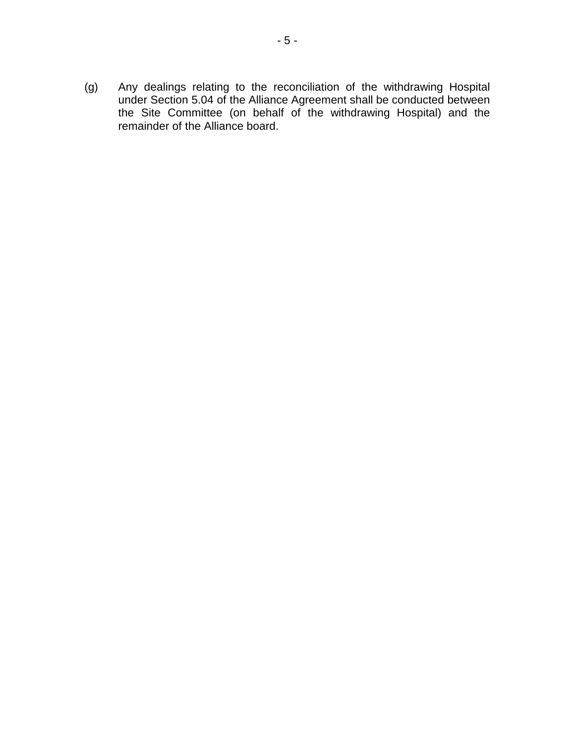(g) Any dealings relating to the reconciliation of the withdrawing Hospital under Section 5.04 of the Alliance Agreement shall be conducted between the Site Committee (on behalf of the withdrawing Hospital) and the remainder of the Alliance board.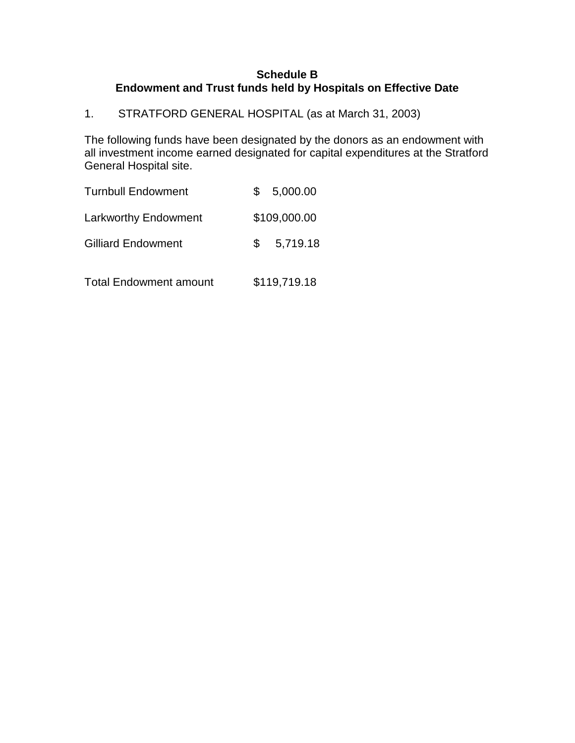### **Schedule B Endowment and Trust funds held by Hospitals on Effective Date**

1. STRATFORD GENERAL HOSPITAL (as at March 31, 2003)

The following funds have been designated by the donors as an endowment with all investment income earned designated for capital expenditures at the Stratford General Hospital site.

| <b>Turnbull Endowment</b>     |   | 5,000.00     |
|-------------------------------|---|--------------|
| <b>Larkworthy Endowment</b>   |   | \$109,000.00 |
| <b>Gilliard Endowment</b>     | S | 5,719.18     |
| <b>Total Endowment amount</b> |   | \$119,719.18 |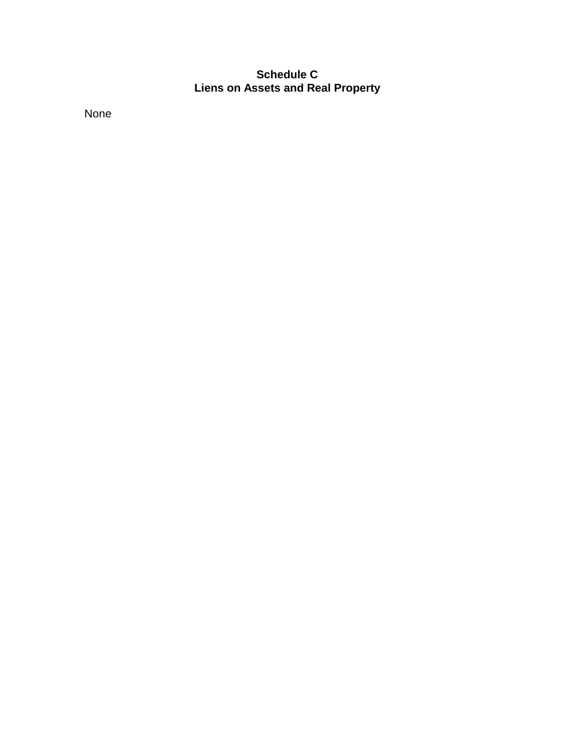# **Schedule C Liens on Assets and Real Property**

None